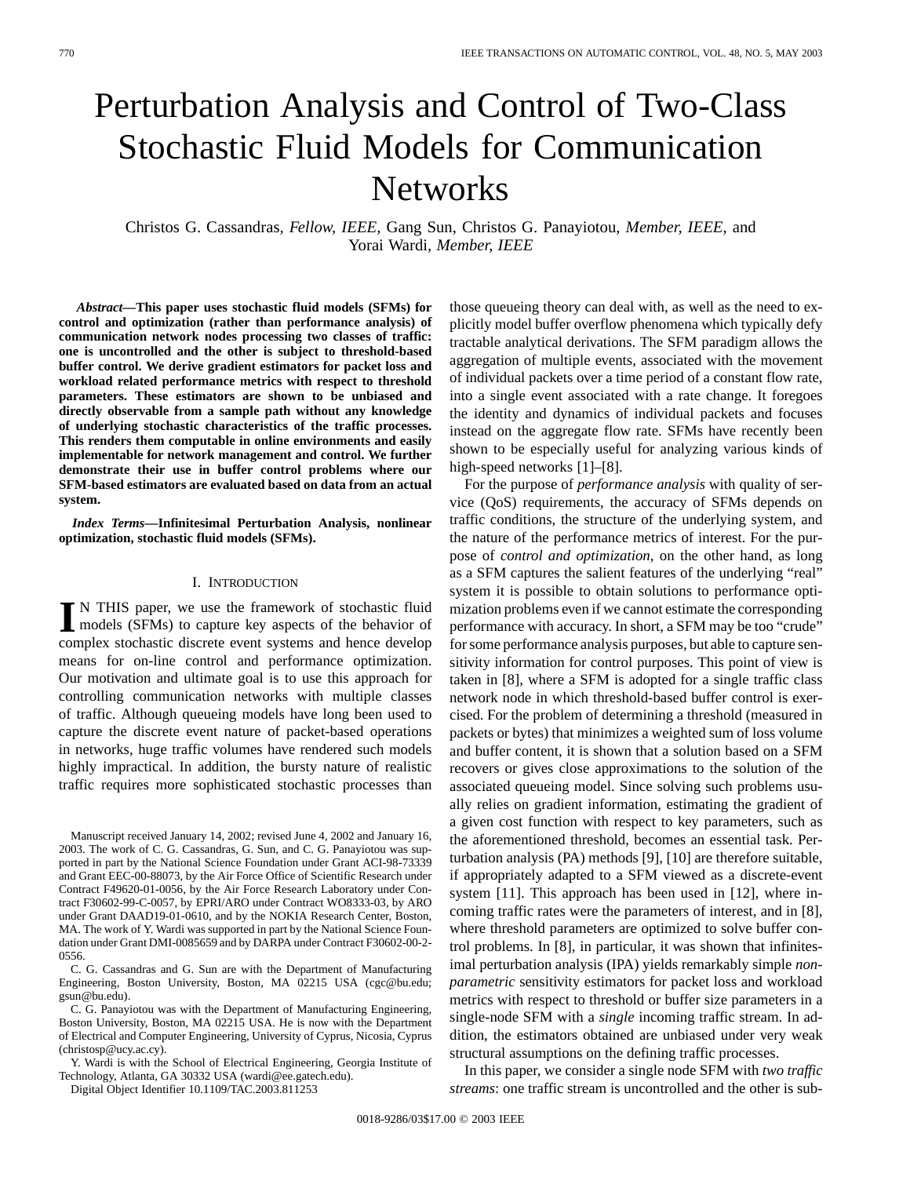# Perturbation Analysis and Control of Two-Class Stochastic Fluid Models for Communication **Networks**

Christos G. Cassandras*, Fellow, IEEE*, Gang Sun, Christos G. Panayiotou*, Member, IEEE*, and Yorai Wardi*, Member, IEEE*

*Abstract—***This paper uses stochastic fluid models (SFMs) for control and optimization (rather than performance analysis) of communication network nodes processing two classes of traffic: one is uncontrolled and the other is subject to threshold-based buffer control. We derive gradient estimators for packet loss and workload related performance metrics with respect to threshold parameters. These estimators are shown to be unbiased and directly observable from a sample path without any knowledge of underlying stochastic characteristics of the traffic processes. This renders them computable in online environments and easily implementable for network management and control. We further demonstrate their use in buffer control problems where our SFM-based estimators are evaluated based on data from an actual system.**

*Index Terms—***Infinitesimal Perturbation Analysis, nonlinear optimization, stochastic fluid models (SFMs).**

#### I. INTRODUCTION

IN THIS paper, we use the framework of stochastic fluid<br>models (SFMs) to capture key aspects of the behavior of<br>complex stochastic discrete sunt sustance and bance developcomplex stochastic discrete event systems and hence develop means for on-line control and performance optimization. Our motivation and ultimate goal is to use this approach for controlling communication networks with multiple classes of traffic. Although queueing models have long been used to capture the discrete event nature of packet-based operations in networks, huge traffic volumes have rendered such models highly impractical. In addition, the bursty nature of realistic traffic requires more sophisticated stochastic processes than

Manuscript received January 14, 2002; revised June 4, 2002 and January 16, 2003. The work of C. G. Cassandras, G. Sun, and C. G. Panayiotou was supported in part by the National Science Foundation under Grant ACI-98-73339 and Grant EEC-00-88073, by the Air Force Office of Scientific Research under Contract F49620-01-0056, by the Air Force Research Laboratory under Contract F30602-99-C-0057, by EPRI/ARO under Contract WO8333-03, by ARO under Grant DAAD19-01-0610, and by the NOKIA Research Center, Boston, MA. The work of Y. Wardi was supported in part by the National Science Foundation under Grant DMI-0085659 and by DARPA under Contract F30602-00-2- 0556.

C. G. Cassandras and G. Sun are with the Department of Manufacturing Engineering, Boston University, Boston, MA 02215 USA (cgc@bu.edu; gsun@bu.edu).

C. G. Panayiotou was with the Department of Manufacturing Engineering, Boston University, Boston, MA 02215 USA. He is now with the Department of Electrical and Computer Engineering, University of Cyprus, Nicosia, Cyprus (christosp@ucy.ac.cy).

Y. Wardi is with the School of Electrical Engineering, Georgia Institute of Technology, Atlanta, GA 30332 USA (wardi@ee.gatech.edu).

Digital Object Identifier 10.1109/TAC.2003.811253

those queueing theory can deal with, as well as the need to explicitly model buffer overflow phenomena which typically defy tractable analytical derivations. The SFM paradigm allows the aggregation of multiple events, associated with the movement of individual packets over a time period of a constant flow rate, into a single event associated with a rate change. It foregoes the identity and dynamics of individual packets and focuses instead on the aggregate flow rate. SFMs have recently been shown to be especially useful for analyzing various kinds of high-speed networks [1]–[8].

For the purpose of *performance analysis* with quality of service (QoS) requirements, the accuracy of SFMs depends on traffic conditions, the structure of the underlying system, and the nature of the performance metrics of interest. For the purpose of *control and optimization*, on the other hand, as long as a SFM captures the salient features of the underlying "real" system it is possible to obtain solutions to performance optimization problems even if we cannot estimate the corresponding performance with accuracy. In short, a SFM may be too "crude" for some performance analysis purposes, but able to capture sensitivity information for control purposes. This point of view is taken in [8], where a SFM is adopted for a single traffic class network node in which threshold-based buffer control is exercised. For the problem of determining a threshold (measured in packets or bytes) that minimizes a weighted sum of loss volume and buffer content, it is shown that a solution based on a SFM recovers or gives close approximations to the solution of the associated queueing model. Since solving such problems usually relies on gradient information, estimating the gradient of a given cost function with respect to key parameters, such as the aforementioned threshold, becomes an essential task. Perturbation analysis (PA) methods [9], [10] are therefore suitable, if appropriately adapted to a SFM viewed as a discrete-event system [11]. This approach has been used in [12], where incoming traffic rates were the parameters of interest, and in [8], where threshold parameters are optimized to solve buffer control problems. In [8], in particular, it was shown that infinitesimal perturbation analysis (IPA) yields remarkably simple *nonparametric* sensitivity estimators for packet loss and workload metrics with respect to threshold or buffer size parameters in a single-node SFM with a *single* incoming traffic stream. In addition, the estimators obtained are unbiased under very weak structural assumptions on the defining traffic processes.

In this paper, we consider a single node SFM with *two traffic streams*: one traffic stream is uncontrolled and the other is sub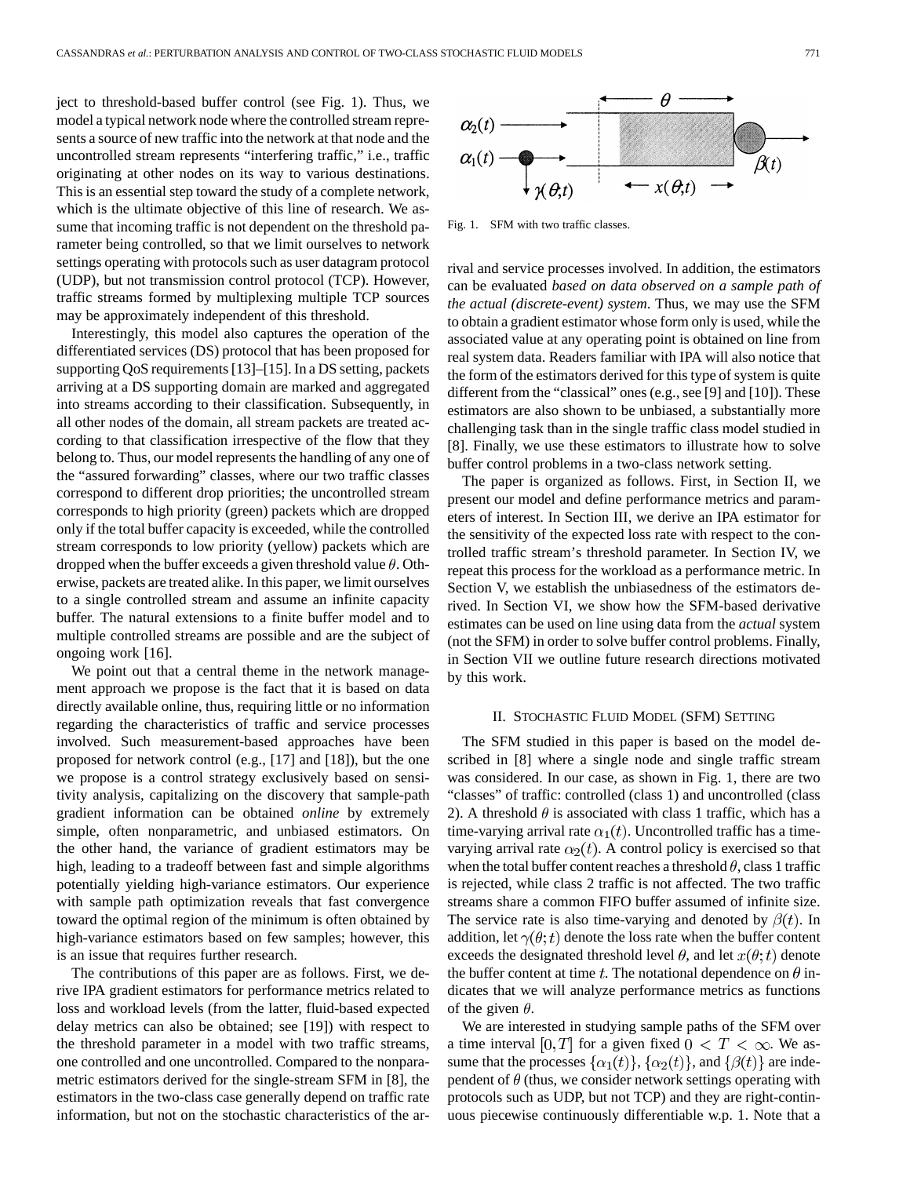ject to threshold-based buffer control (see Fig. 1). Thus, we model a typical network node where the controlled stream represents a source of new traffic into the network at that node and the uncontrolled stream represents "interfering traffic," i.e., traffic originating at other nodes on its way to various destinations. This is an essential step toward the study of a complete network, which is the ultimate objective of this line of research. We assume that incoming traffic is not dependent on the threshold parameter being controlled, so that we limit ourselves to network settings operating with protocols such as user datagram protocol (UDP), but not transmission control protocol (TCP). However, traffic streams formed by multiplexing multiple TCP sources may be approximately independent of this threshold.

Interestingly, this model also captures the operation of the differentiated services (DS) protocol that has been proposed for supporting QoS requirements [13]–[15]. In a DS setting, packets arriving at a DS supporting domain are marked and aggregated into streams according to their classification. Subsequently, in all other nodes of the domain, all stream packets are treated according to that classification irrespective of the flow that they belong to. Thus, our model represents the handling of any one of the "assured forwarding" classes, where our two traffic classes correspond to different drop priorities; the uncontrolled stream corresponds to high priority (green) packets which are dropped only if the total buffer capacity is exceeded, while the controlled stream corresponds to low priority (yellow) packets which are dropped when the buffer exceeds a given threshold value  $\theta$ . Otherwise, packets are treated alike. In this paper, we limit ourselves to a single controlled stream and assume an infinite capacity buffer. The natural extensions to a finite buffer model and to multiple controlled streams are possible and are the subject of ongoing work [16].

We point out that a central theme in the network management approach we propose is the fact that it is based on data directly available online, thus, requiring little or no information regarding the characteristics of traffic and service processes involved. Such measurement-based approaches have been proposed for network control (e.g., [17] and [18]), but the one we propose is a control strategy exclusively based on sensitivity analysis, capitalizing on the discovery that sample-path gradient information can be obtained *online* by extremely simple, often nonparametric, and unbiased estimators. On the other hand, the variance of gradient estimators may be high, leading to a tradeoff between fast and simple algorithms potentially yielding high-variance estimators. Our experience with sample path optimization reveals that fast convergence toward the optimal region of the minimum is often obtained by high-variance estimators based on few samples; however, this is an issue that requires further research.

The contributions of this paper are as follows. First, we derive IPA gradient estimators for performance metrics related to loss and workload levels (from the latter, fluid-based expected delay metrics can also be obtained; see [19]) with respect to the threshold parameter in a model with two traffic streams, one controlled and one uncontrolled. Compared to the nonparametric estimators derived for the single-stream SFM in [8], the estimators in the two-class case generally depend on traffic rate information, but not on the stochastic characteristics of the ar-



Fig. 1. SFM with two traffic classes.

rival and service processes involved. In addition, the estimators can be evaluated *based on data observed on a sample path of the actual (discrete-event) system*. Thus, we may use the SFM to obtain a gradient estimator whose form only is used, while the associated value at any operating point is obtained on line from real system data. Readers familiar with IPA will also notice that the form of the estimators derived for this type of system is quite different from the "classical" ones (e.g., see [9] and [10]). These estimators are also shown to be unbiased, a substantially more challenging task than in the single traffic class model studied in [8]. Finally, we use these estimators to illustrate how to solve buffer control problems in a two-class network setting.

The paper is organized as follows. First, in Section II, we present our model and define performance metrics and parameters of interest. In Section III, we derive an IPA estimator for the sensitivity of the expected loss rate with respect to the controlled traffic stream's threshold parameter. In Section IV, we repeat this process for the workload as a performance metric. In Section V, we establish the unbiasedness of the estimators derived. In Section VI, we show how the SFM-based derivative estimates can be used on line using data from the *actual* system (not the SFM) in order to solve buffer control problems. Finally, in Section VII we outline future research directions motivated by this work.

# II. STOCHASTIC FLUID MODEL (SFM) SETTING

The SFM studied in this paper is based on the model described in [8] where a single node and single traffic stream was considered. In our case, as shown in Fig. 1, there are two "classes" of traffic: controlled (class 1) and uncontrolled (class 2). A threshold  $\theta$  is associated with class 1 traffic, which has a time-varying arrival rate  $\alpha_1(t)$ . Uncontrolled traffic has a timevarying arrival rate  $\alpha_2(t)$ . A control policy is exercised so that when the total buffer content reaches a threshold  $\theta$ , class 1 traffic is rejected, while class 2 traffic is not affected. The two traffic streams share a common FIFO buffer assumed of infinite size. The service rate is also time-varying and denoted by  $\beta(t)$ . In addition, let  $\gamma(\theta; t)$  denote the loss rate when the buffer content exceeds the designated threshold level  $\theta$ , and let  $x(\theta; t)$  denote the buffer content at time t. The notational dependence on  $\theta$  indicates that we will analyze performance metrics as functions of the given  $\theta$ .

We are interested in studying sample paths of the SFM over a time interval [0, T] for a given fixed  $0 < T < \infty$ . We assume that the processes  $\{\alpha_1(t)\}\$ ,  $\{\alpha_2(t)\}\$ , and  $\{\beta(t)\}\$  are independent of  $\theta$  (thus, we consider network settings operating with protocols such as UDP, but not TCP) and they are right-continuous piecewise continuously differentiable w.p. 1. Note that a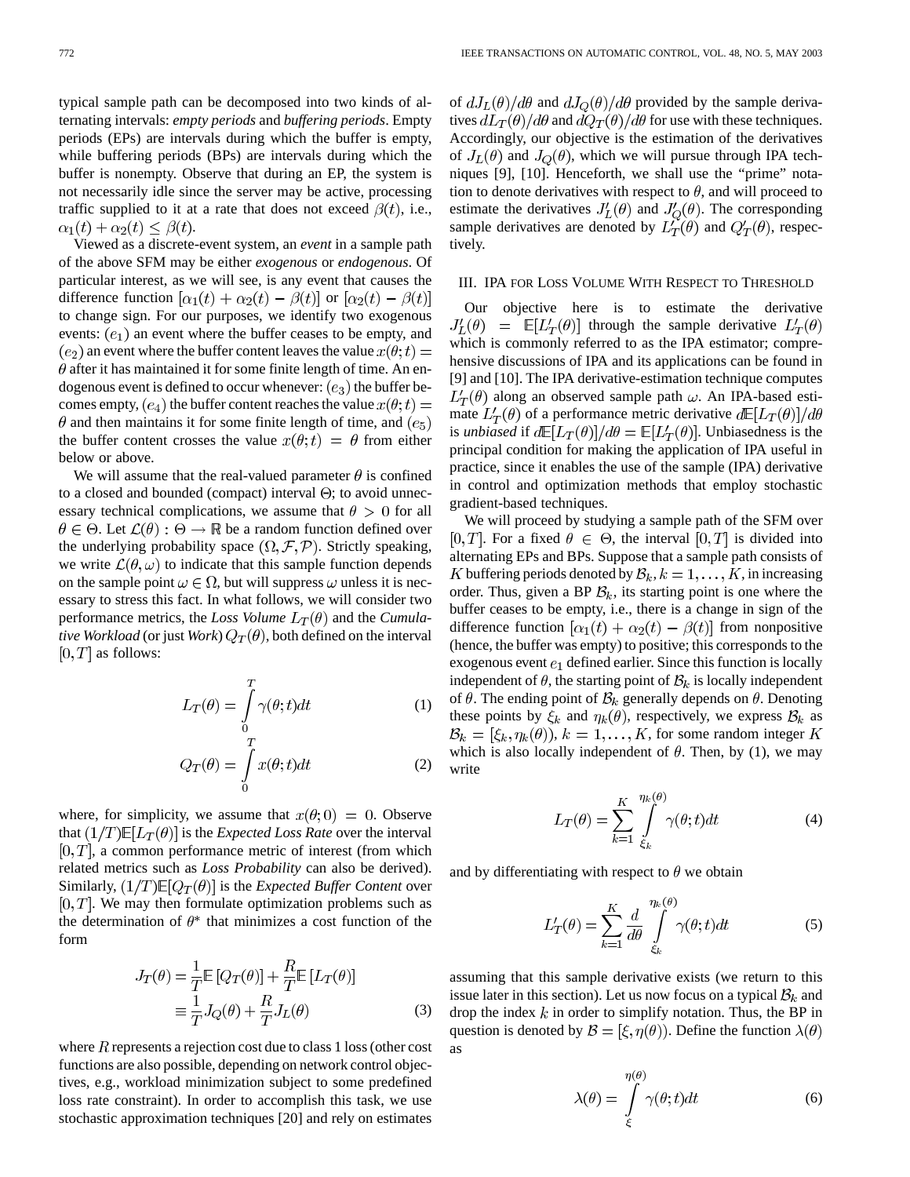typical sample path can be decomposed into two kinds of alternating intervals: *empty periods* and *buffering periods*. Empty periods (EPs) are intervals during which the buffer is empty, while buffering periods (BPs) are intervals during which the buffer is nonempty. Observe that during an EP, the system is not necessarily idle since the server may be active, processing traffic supplied to it at a rate that does not exceed  $\beta(t)$ , i.e.,  $\alpha_1(t) + \alpha_2(t) \leq \beta(t)$ .

Viewed as a discrete-event system, an *event* in a sample path of the above SFM may be either *exogenous* or *endogenous*. Of particular interest, as we will see, is any event that causes the difference function  $[\alpha_1(t) + \alpha_2(t) - \beta(t)]$  or  $[\alpha_2(t) - \beta(t)]$ to change sign. For our purposes, we identify two exogenous events:  $(e_1)$  an event where the buffer ceases to be empty, and  $(e_2)$  an event where the buffer content leaves the value  $x(\theta; t) =$  $\theta$  after it has maintained it for some finite length of time. An endogenous event is defined to occur whenever:  $(e_3)$  the buffer becomes empty,  $(e_4)$  the buffer content reaches the value  $x(\theta; t) =$  $\theta$  and then maintains it for some finite length of time, and  $(e_5)$ the buffer content crosses the value  $x(\theta; t) = \theta$  from either below or above.

We will assume that the real-valued parameter  $\theta$  is confined to a closed and bounded (compact) interval  $\Theta$ ; to avoid unnecessary technical complications, we assume that  $\theta > 0$  for all  $\theta \in \Theta$ . Let  $\mathcal{L}(\theta) : \Theta \to \mathbb{R}$  be a random function defined over the underlying probability space  $(\Omega, \mathcal{F}, \mathcal{P})$ . Strictly speaking, we write  $\mathcal{L}(\theta, \omega)$  to indicate that this sample function depends on the sample point  $\omega \in \Omega$ , but will suppress  $\omega$  unless it is necessary to stress this fact. In what follows, we will consider two performance metrics, the *Loss Volume*  $L_T(\theta)$  and the *Cumulative Workload* (or just *Work*)  $Q_T(\theta)$ , both defined on the interval  $[0, T]$  as follows:

$$
L_T(\theta) = \int_{0}^{T} \gamma(\theta; t) dt
$$
 (1)

$$
Q_T(\theta) = \int_0^T x(\theta; t)dt
$$
 (2)

where, for simplicity, we assume that  $x(\theta; 0) = 0$ . Observe that  $(1/T) \mathbb{E}[L_T(\theta)]$  is the *Expected Loss Rate* over the interval  $[0, T]$ , a common performance metric of interest (from which related metrics such as *Loss Probability* can also be derived). Similarly,  $(1/T)\mathbb{E}[Q_T(\theta)]$  is the *Expected Buffer Content* over  $[0, T]$ . We may then formulate optimization problems such as the determination of  $\theta^*$  that minimizes a cost function of the form

$$
J_T(\theta) = \frac{1}{T} \mathbb{E} [Q_T(\theta)] + \frac{R}{T} \mathbb{E} [L_T(\theta)]
$$
  

$$
\equiv \frac{1}{T} J_Q(\theta) + \frac{R}{T} J_L(\theta)
$$
 (3)

where  $R$  represents a rejection cost due to class 1 loss (other cost functions are also possible, depending on network control objectives, e.g., workload minimization subject to some predefined loss rate constraint). In order to accomplish this task, we use stochastic approximation techniques [20] and rely on estimates of  $dJ_L(\theta)/d\theta$  and  $dJ_Q(\theta)/d\theta$  provided by the sample derivatives  $dL_T(\theta)/d\theta$  and  $dQ_T(\theta)/d\theta$  for use with these techniques. Accordingly, our objective is the estimation of the derivatives of  $J_L(\theta)$  and  $J_O(\theta)$ , which we will pursue through IPA techniques [9], [10]. Henceforth, we shall use the "prime" notation to denote derivatives with respect to  $\theta$ , and will proceed to estimate the derivatives  $J'_L(\theta)$  and  $J'_O(\theta)$ . The corresponding sample derivatives are denoted by  $L'_{\mathcal{T}}(\theta)$  and  $Q'_{\mathcal{T}}(\theta)$ , respectively.

# III. IPA FOR LOSS VOLUME WITH RESPECT TO THRESHOLD

Our objective here is to estimate the derivative  $J'_L(\theta) = \mathbb{E}[L'_T(\theta)]$  through the sample derivative  $L'_T(\theta)$ which is commonly referred to as the IPA estimator; comprehensive discussions of IPA and its applications can be found in [9] and [10]. The IPA derivative-estimation technique computes  $L'_T(\theta)$  along an observed sample path  $\omega$ . An IPA-based estimate  $L'_T(\theta)$  of a performance metric derivative  $dE[L_T(\theta)]/d\theta$ is *unbiased* if  $dE[L_T(\theta)]/d\theta = E[L'_T(\theta)]$ . Unbiasedness is the principal condition for making the application of IPA useful in practice, since it enables the use of the sample (IPA) derivative in control and optimization methods that employ stochastic gradient-based techniques.

We will proceed by studying a sample path of the SFM over [0, T]. For a fixed  $\theta \in \Theta$ , the interval [0, T] is divided into alternating EPs and BPs. Suppose that a sample path consists of K buffering periods denoted by  $\mathcal{B}_k$ ,  $k = 1, \ldots, K$ , in increasing order. Thus, given a BP  $\mathcal{B}_k$ , its starting point is one where the buffer ceases to be empty, i.e., there is a change in sign of the difference function  $[\alpha_1(t) + \alpha_2(t) - \beta(t)]$  from nonpositive (hence, the buffer was empty) to positive; this corresponds to the exogenous event  $e_1$  defined earlier. Since this function is locally independent of  $\theta$ , the starting point of  $\mathcal{B}_k$  is locally independent of  $\theta$ . The ending point of  $\mathcal{B}_k$  generally depends on  $\theta$ . Denoting these points by  $\xi_k$  and  $\eta_k(\theta)$ , respectively, we express  $\mathcal{B}_k$  as  $\mathcal{B}_k = [\xi_k, \eta_k(\theta)], k = 1, \dots, K$ , for some random integer K which is also locally independent of  $\theta$ . Then, by (1), we may write

$$
L_T(\theta) = \sum_{k=1}^K \int_{\xi_k}^{\eta_k(\theta)} \gamma(\theta; t) dt
$$
 (4)

and by differentiating with respect to  $\theta$  we obtain

$$
L'_{T}(\theta) = \sum_{k=1}^{K} \frac{d}{d\theta} \int_{\xi_{k}}^{\eta_{k}(\theta)} \gamma(\theta; t) dt
$$
 (5)

assuming that this sample derivative exists (we return to this issue later in this section). Let us now focus on a typical  $B_k$  and drop the index  $k$  in order to simplify notation. Thus, the BP in question is denoted by  $\mathcal{B} = [\xi, \eta(\theta)]$ . Define the function  $\lambda(\theta)$ as

$$
\lambda(\theta) = \int\limits_{\xi}^{\eta(\theta)} \gamma(\theta; t) dt
$$
\n(6)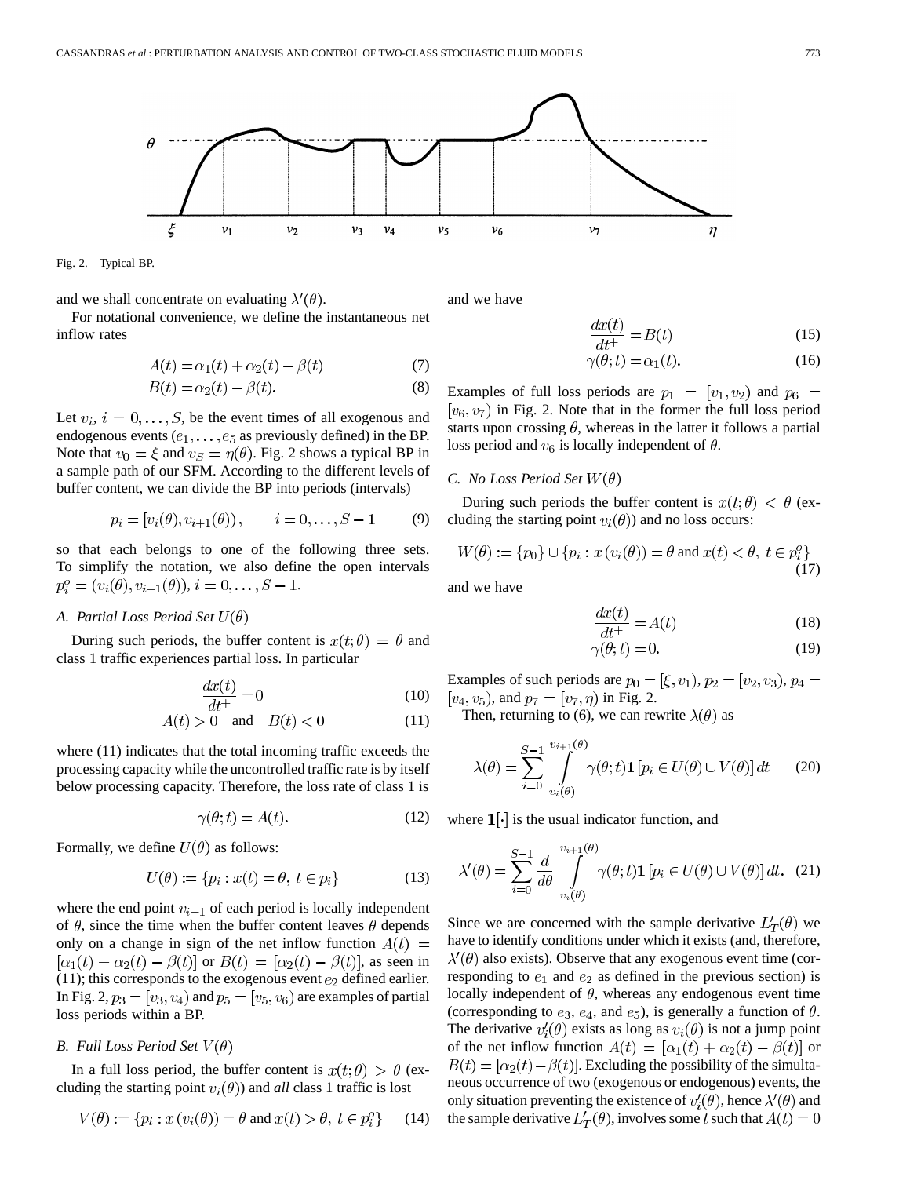

Fig. 2. Typical BP.

and we shall concentrate on evaluating  $\lambda'(\theta)$ .

For notational convenience, we define the instantaneous net inflow rates

$$
A(t) = \alpha_1(t) + \alpha_2(t) - \beta(t)
$$
\n(7)

$$
B(t) = \alpha_2(t) - \beta(t). \tag{8}
$$

Let  $v_i, i = 0, \ldots, S$ , be the event times of all exogenous and endogenous events  $(e_1, \ldots, e_5$  as previously defined) in the BP. Note that  $v_0 = \xi$  and  $v_s = \eta(\theta)$ . Fig. 2 shows a typical BP in a sample path of our SFM. According to the different levels of buffer content, we can divide the BP into periods (intervals)

$$
p_i = [v_i(\theta), v_{i+1}(\theta)), \qquad i = 0, ..., S-1
$$
 (9)

so that each belongs to one of the following three sets. To simplify the notation, we also define the open intervals  $p_i^o = (v_i(\theta), v_{i+1}(\theta)), i = 0, \ldots, S-1.$ 

# *A. Partial Loss Period Set*

During such periods, the buffer content is  $x(t; \theta) = \theta$  and class 1 traffic experiences partial loss. In particular

$$
\frac{dx(t)}{dt^+} = 0\tag{10}
$$

$$
A(t) > 0 \quad \text{and} \quad B(t) < 0 \tag{11}
$$

where (11) indicates that the total incoming traffic exceeds the processing capacity while the uncontrolled traffic rate is by itself below processing capacity. Therefore, the loss rate of class 1 is

$$
\gamma(\theta; t) = A(t). \tag{12}
$$

Formally, we define  $U(\theta)$  as follows:

$$
U(\theta) := \{ p_i : x(t) = \theta, \ t \in p_i \}
$$
 (13)

where the end point  $v_{i+1}$  of each period is locally independent of  $\theta$ , since the time when the buffer content leaves  $\theta$  depends only on a change in sign of the net inflow function  $A(t)$  =  $[\alpha_1(t) + \alpha_2(t) - \beta(t)]$  or  $B(t) = [\alpha_2(t) - \beta(t)]$ , as seen in (11); this corresponds to the exogenous event  $e_2$  defined earlier. In Fig. 2,  $p_3 = [v_3, v_4)$  and  $p_5 = [v_5, v_6)$  are examples of partial loss periods within a BP.

# *B. Full Loss Period Set*  $V(\theta)$

In a full loss period, the buffer content is  $x(t; \theta) > \theta$  (excluding the starting point  $v_i(\theta)$  and *all* class 1 traffic is lost

$$
V(\theta) := \{ p_i : x(v_i(\theta)) = \theta \text{ and } x(t) > \theta, t \in p_i^0 \} \qquad (14)
$$

and we have

$$
\frac{dx(t)}{dt} = B(t) \tag{15}
$$

$$
\gamma(\theta; t) = \alpha_1(t). \tag{16}
$$

Examples of full loss periods are  $p_1 = [v_1, v_2)$  and  $p_6 =$  $[v_6, v_7]$  in Fig. 2. Note that in the former the full loss period starts upon crossing  $\theta$ , whereas in the latter it follows a partial loss period and  $v_6$  is locally independent of  $\theta$ .

### *C. No Loss Period Set*

During such periods the buffer content is  $x(t; \theta) < \theta$  (excluding the starting point  $v_i(\theta)$  and no loss occurs:

$$
W(\theta) := \{ p_0 \} \cup \{ p_i : x(v_i(\theta)) = \theta \text{ and } x(t) < \theta, \ t \in p_i^o \} \tag{17}
$$

and we have

$$
\frac{dx(t)}{dt^+} = A(t) \tag{18}
$$

$$
\gamma(\theta; t) = 0. \tag{19}
$$

Examples of such periods are  $p_0 = [\xi, v_1), p_2 = [v_2, v_3), p_4 =$  $[v_4, v_5]$ , and  $p_7 = [v_7, \eta)$  in Fig. 2.

Then, returning to (6), we can rewrite  $\lambda(\theta)$  as

$$
\lambda(\theta) = \sum_{i=0}^{S-1} \int_{v_i(\theta)}^{v_{i+1}(\theta)} \gamma(\theta; t) \mathbf{1} \left[ p_i \in U(\theta) \cup V(\theta) \right] dt \qquad (20)
$$

where  $1[\cdot]$  is the usual indicator function, and

$$
\lambda'(\theta) = \sum_{i=0}^{S-1} \frac{d}{d\theta} \int_{v_i(\theta)}^{v_{i+1}(\theta)} \gamma(\theta; t) \mathbf{1} \left[ p_i \in U(\theta) \cup V(\theta) \right] dt. \tag{21}
$$

Since we are concerned with the sample derivative  $L'_{\mathcal{T}}(\theta)$  we have to identify conditions under which it exists (and, therefore,  $\lambda'(\theta)$  also exists). Observe that any exogenous event time (corresponding to  $e_1$  and  $e_2$  as defined in the previous section) is locally independent of  $\theta$ , whereas any endogenous event time (corresponding to  $e_3$ ,  $e_4$ , and  $e_5$ ), is generally a function of  $\theta$ . The derivative  $v_i'(\theta)$  exists as long as  $v_i(\theta)$  is not a jump point of the net inflow function  $A(t) = [\alpha_1(t) + \alpha_2(t) - \beta(t)]$  or  $B(t) = [\alpha_2(t) - \beta(t)]$ . Excluding the possibility of the simultaneous occurrence of two (exogenous or endogenous) events, the only situation preventing the existence of  $v_i'(\theta)$ , hence  $\lambda'(\theta)$  and the sample derivative  $L'_{\mathcal{T}}(\theta)$ , involves some t such that  $A(t) = 0$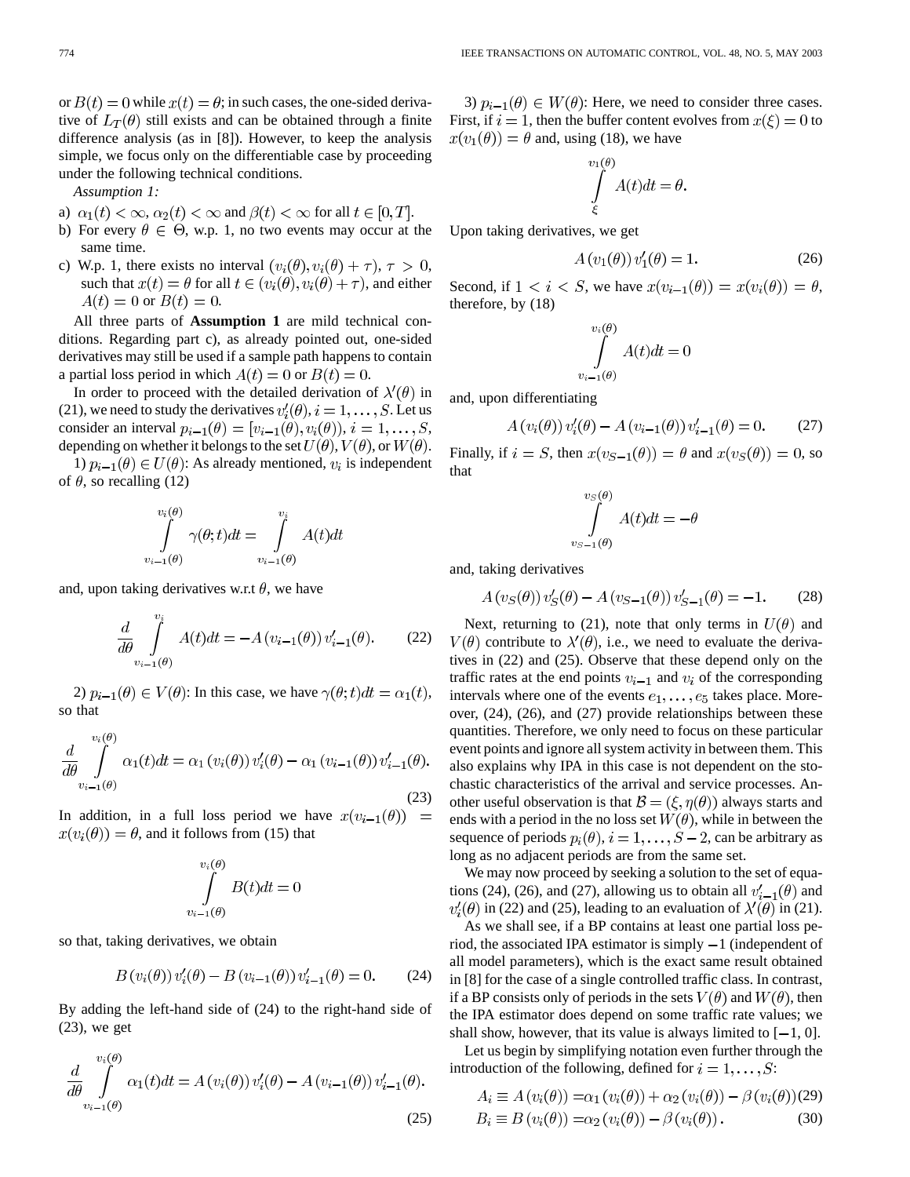or  $B(t) = 0$  while  $x(t) = \theta$ ; in such cases, the one-sided derivative of  $L_T(\theta)$  still exists and can be obtained through a finite difference analysis (as in [8]). However, to keep the analysis simple, we focus only on the differentiable case by proceeding under the following technical conditions.

*Assumption 1:*

- a)  $\alpha_1(t) < \infty$ ,  $\alpha_2(t) < \infty$  and  $\beta(t) < \infty$  for all  $t \in [0, T]$ .
- b) For every  $\theta \in \Theta$ , w.p. 1, no two events may occur at the same time.
- c) W.p. 1, there exists no interval  $(v_i(\theta), v_i(\theta) + \tau)$ ,  $\tau > 0$ , such that  $x(t) = \theta$  for all  $t \in (v_i(\theta), v_i(\theta) + \tau)$ , and either  $A(t) = 0$  or  $B(t) = 0$ .

All three parts of **Assumption 1** are mild technical conditions. Regarding part c), as already pointed out, one-sided derivatives may still be used if a sample path happens to contain a partial loss period in which  $A(t) = 0$  or  $B(t) = 0$ .

In order to proceed with the detailed derivation of  $\lambda'(\theta)$  in (21), we need to study the derivatives  $v_i'(\theta)$ ,  $i = 1, \ldots, S$ . Let us consider an interval  $p_{i-1}(\theta) = [v_{i-1}(\theta), v_i(\theta)), i = 1, \ldots, S$ , depending on whether it belongs to the set  $U(\theta)$ ,  $V(\theta)$ , or  $W(\theta)$ .

1)  $p_{i-1}(\theta) \in U(\theta)$ : As already mentioned,  $v_i$  is independent of  $\theta$ , so recalling (12)

$$
\int_{v_{i-1}(\theta)}^{v_i(\theta)} \gamma(\theta; t) dt = \int_{v_{i-1}(\theta)}^{v_i} A(t) dt
$$

and, upon taking derivatives w.r.t  $\theta$ , we have

$$
\frac{d}{d\theta} \int_{v_{i-1}(\theta)}^{v_i} A(t)dt = -A(v_{i-1}(\theta))v'_{i-1}(\theta). \tag{22}
$$

2)  $p_{i-1}(\theta) \in V(\theta)$ : In this case, we have  $\gamma(\theta; t)dt = \alpha_1(t)$ , so that

$$
\frac{d}{d\theta} \int_{v_{i-1}(\theta)}^{v_i(\theta)} \alpha_1(t)dt = \alpha_1 \left(v_i(\theta)\right) v_i'(\theta) - \alpha_1 \left(v_{i-1}(\theta)\right) v_{i-1}'(\theta). \tag{23}
$$

In addition, in a full loss period we have  $x(v_{i-1}(\theta)) =$  $x(v_i(\theta)) = \theta$ , and it follows from (15) that

$$
\int_{v_{i-1}(\theta)}^{v_i(\theta)} B(t)dt = 0
$$

so that, taking derivatives, we obtain

$$
B(v_i(\theta))v_i'(\theta) - B(v_{i-1}(\theta))v_{i-1}'(\theta) = 0.
$$
 (24)

By adding the left-hand side of (24) to the right-hand side of (23), we get

$$
\frac{d}{d\theta} \int_{v_{i-1}(\theta)}^{v_i(\theta)} \alpha_1(t)dt = A(v_i(\theta))v_i'(\theta) - A(v_{i-1}(\theta))v_{i-1}'(\theta).
$$
\n(25)

3)  $p_{i-1}(\theta) \in W(\theta)$ : Here, we need to consider three cases. First, if  $i = 1$ , then the buffer content evolves from  $x(\xi) = 0$  to  $x(v_1(\theta)) = \theta$  and, using (18), we have

$$
\int_{\xi}^{v_1(\theta)} A(t)dt = \theta
$$

Upon taking derivatives, we get

$$
A(v_1(\theta))v'_1(\theta) = 1.
$$
 (26)

Second, if  $1 < i < S$ , we have  $x(v_{i-1}(\theta)) = x(v_i(\theta)) = \theta$ , therefore, by (18)

$$
\int\limits_{v_{i-1}(\theta)}^{v_i(\theta)} A(t)dt = 0
$$

and, upon differentiating

$$
A(v_i(\theta))v_i'(\theta) - A(v_{i-1}(\theta))v_{i-1}'(\theta) = 0.
$$
 (27)

Finally, if  $i = S$ , then  $x(v_{S-1}(\theta)) = \theta$  and  $x(v_S(\theta)) = 0$ , so that

$$
\int_{v_S - 1(\theta)}^{v_S(\theta)} A(t)dt = -\theta
$$

and, taking derivatives

$$
A(v_S(\theta))v'_S(\theta) - A(v_{S-1}(\theta))v'_{S-1}(\theta) = -1.
$$
 (28)

Next, returning to (21), note that only terms in  $U(\theta)$  and  $V(\theta)$  contribute to  $\lambda'(\theta)$ , i.e., we need to evaluate the derivatives in (22) and (25). Observe that these depend only on the traffic rates at the end points  $v_{i-1}$  and  $v_i$  of the corresponding intervals where one of the events  $e_1, \ldots, e_5$  takes place. Moreover, (24), (26), and (27) provide relationships between these quantities. Therefore, we only need to focus on these particular event points and ignore all system activity in between them. This also explains why IPA in this case is not dependent on the stochastic characteristics of the arrival and service processes. Another useful observation is that  $\mathcal{B} = (\xi, \eta(\theta))$  always starts and ends with a period in the no loss set  $W(\theta)$ , while in between the sequence of periods  $p_i(\theta), i = 1, \ldots, S-2$ , can be arbitrary as long as no adjacent periods are from the same set.

We may now proceed by seeking a solution to the set of equations (24), (26), and (27), allowing us to obtain all  $v'_{i-1}(\theta)$  and  $v_i'(\theta)$  in (22) and (25), leading to an evaluation of  $\lambda'(\theta)$  in (21).

As we shall see, if a BP contains at least one partial loss period, the associated IPA estimator is simply  $-1$  (independent of all model parameters), which is the exact same result obtained in [8] for the case of a single controlled traffic class. In contrast, if a BP consists only of periods in the sets  $V(\theta)$  and  $W(\theta)$ , then the IPA estimator does depend on some traffic rate values; we shall show, however, that its value is always limited to  $[-1, 0]$ . Let us begin by simplifying notation even further through the

introduction of the following, defined for  $i = 1, \ldots, S$ :

$$
A_i \equiv A(v_i(\theta)) = \alpha_1(v_i(\theta)) + \alpha_2(v_i(\theta)) - \beta(v_i(\theta))(29)
$$
  
\n
$$
B_i \equiv B(v_i(\theta)) = \alpha_2(v_i(\theta)) - \beta(v_i(\theta)).
$$
 (30)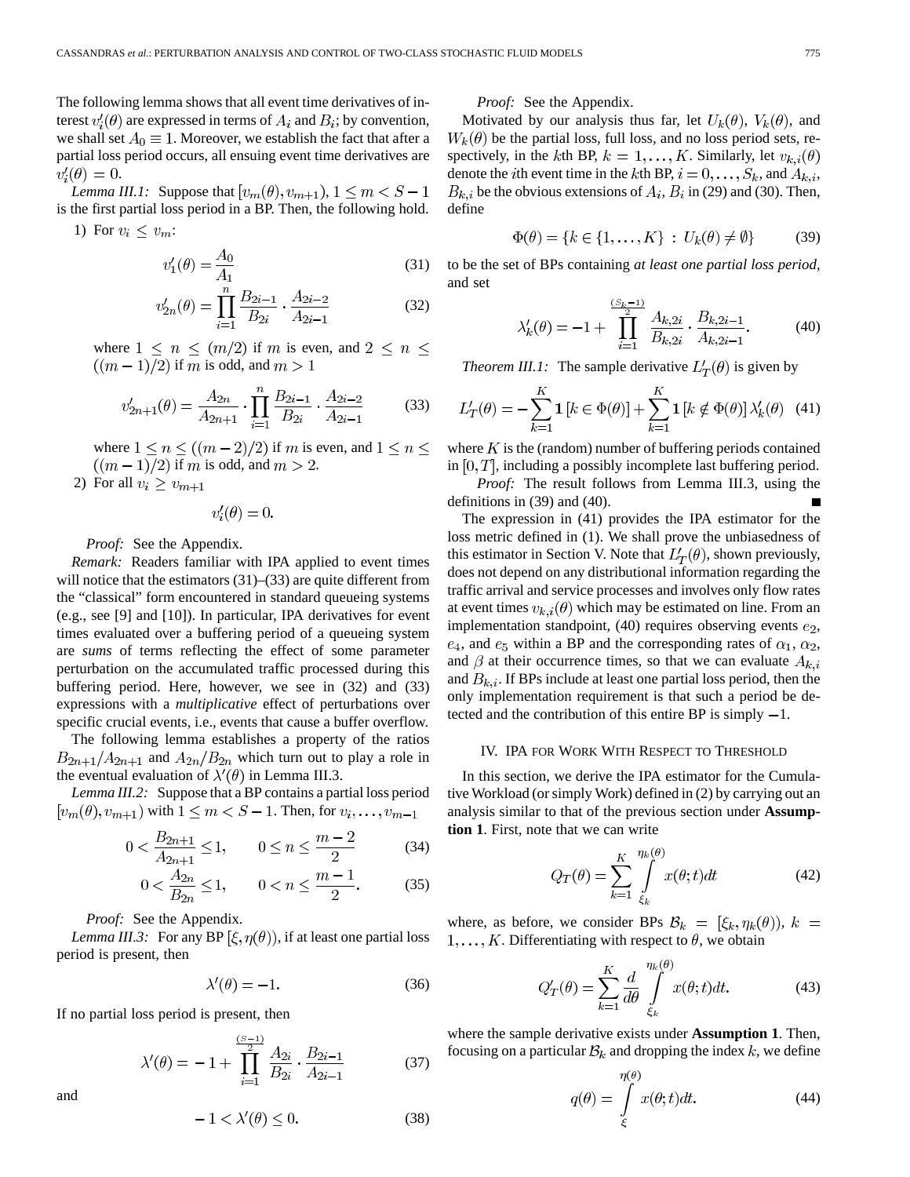The following lemma shows that all event time derivatives of interest  $v_i'(\theta)$  are expressed in terms of  $A_i$  and  $B_i$ ; by convention, we shall set  $A_0 \equiv 1$ . Moreover, we establish the fact that after a partial loss period occurs, all ensuing event time derivatives are  $v_i'(\theta) = 0.$ 

*Lemma III.1:* Suppose that  $[v_m(\theta), v_{m+1}), 1 \leq m < S-1$ is the first partial loss period in a BP. Then, the following hold.

1) For  $v_i \leq v_m$ :

$$
v_1'(\theta) = \frac{A_0}{A_1} \tag{31}
$$

$$
v'_{2n}(\theta) = \prod_{i=1}^{n} \frac{B_{2i-1}}{B_{2i}} \cdot \frac{A_{2i-2}}{A_{2i-1}}
$$
(32)

where  $1 \leq n \leq (m/2)$  if m is even, and  $2 \leq n \leq$  $((m-1)/2)$  if m is odd, and  $m > 1$ 

$$
v'_{2n+1}(\theta) = \frac{A_{2n}}{A_{2n+1}} \cdot \prod_{i=1}^{n} \frac{B_{2i-1}}{B_{2i}} \cdot \frac{A_{2i-2}}{A_{2i-1}} \tag{33}
$$

where  $1 \le n \le ((m-2)/2)$  if m is even, and  $1 \le n \le$  $((m-1)/2)$  if m is odd, and  $m > 2$ .

2) For all  $v_i \geq v_{m+1}$ 

$$
v_i'(\theta) = 0.
$$

*Proof:* See the Appendix.

*Remark:* Readers familiar with IPA applied to event times will notice that the estimators (31)–(33) are quite different from the "classical" form encountered in standard queueing systems (e.g., see [9] and [10]). In particular, IPA derivatives for event times evaluated over a buffering period of a queueing system are *sums* of terms reflecting the effect of some parameter perturbation on the accumulated traffic processed during this buffering period. Here, however, we see in (32) and (33) expressions with a *multiplicative* effect of perturbations over specific crucial events, i.e., events that cause a buffer overflow.

The following lemma establishes a property of the ratios  $B_{2n+1}/A_{2n+1}$  and  $A_{2n}/B_{2n}$  which turn out to play a role in the eventual evaluation of  $\lambda'(\theta)$  in Lemma III.3.

*Lemma III.2:* Suppose that a BP contains a partial loss period  $[v_m(\theta), v_{m+1})$  with  $1 \leq m < S-1$ . Then, for  $v_i, \ldots, v_{m-1}$ 

$$
0 < \frac{B_{2n+1}}{A_{2n+1}} \le 1, \qquad 0 \le n \le \frac{m-2}{2} \tag{34}
$$

$$
0 < \frac{A_{2n}}{B_{2n}} \le 1, \qquad 0 < n \le \frac{m-1}{2}.\tag{35}
$$

*Proof:* See the Appendix.

*Lemma III.3:* For any BP  $[\xi, \eta(\theta))$ , if at least one partial loss period is present, then

 $\sqrt{6}$  1)

$$
\lambda'(\theta) = -1.\tag{36}
$$

If no partial loss period is present, then

$$
\lambda'(\theta) = -1 + \prod_{i=1}^{\lfloor \frac{3-i}{2} \rfloor} \frac{A_{2i}}{B_{2i}} \cdot \frac{B_{2i-1}}{A_{2i-1}} \tag{37}
$$

and

$$
-1 < \lambda'(\theta) \le 0. \tag{38}
$$

*Proof:* See the Appendix.

Motivated by our analysis thus far, let  $U_k(\theta)$ ,  $V_k(\theta)$ , and  $W_k(\theta)$  be the partial loss, full loss, and no loss period sets, respectively, in the k<sup>th</sup> BP,  $k = 1, ..., K$ . Similarly, let  $v_{k,i}(\theta)$ denote the *i*th event time in the *k*th BP,  $i = 0, \ldots, S_k$ , and  $A_{k,i}$ ,  $B_{k,i}$  be the obvious extensions of  $A_i$ ,  $B_i$  in (29) and (30). Then, define

$$
\Phi(\theta) = \{k \in \{1, \dots, K\} \, : \, U_k(\theta) \neq \emptyset\} \tag{39}
$$

to be the set of BPs containing *at least one partial loss period*, and set

$$
\lambda'_{k}(\theta) = -1 + \prod_{i=1}^{\left(S_{k}-1\right)} \frac{A_{k,2i}}{B_{k,2i}} \cdot \frac{B_{k,2i-1}}{A_{k,2i-1}}.\tag{40}
$$

*Theorem III.1:* The sample derivative  $L'_{\mathcal{T}}(\theta)$  is given by

$$
L'_{T}(\theta) = -\sum_{k=1}^{K} \mathbf{1}[k \in \Phi(\theta)] + \sum_{k=1}^{K} \mathbf{1}[k \notin \Phi(\theta)] \lambda'_{k}(\theta)
$$
 (41)

where  $K$  is the (random) number of buffering periods contained in  $[0, T]$ , including a possibly incomplete last buffering period.

*Proof:* The result follows from Lemma III.3, using the definitions in (39) and (40).

The expression in (41) provides the IPA estimator for the loss metric defined in (1). We shall prove the unbiasedness of this estimator in Section V. Note that  $L'_{\mathcal{T}}(\theta)$ , shown previously, does not depend on any distributional information regarding the traffic arrival and service processes and involves only flow rates at event times  $v_{k,i}(\theta)$  which may be estimated on line. From an implementation standpoint,  $(40)$  requires observing events  $e_2$ ,  $e_4$ , and  $e_5$  within a BP and the corresponding rates of  $\alpha_1, \alpha_2$ , and  $\beta$  at their occurrence times, so that we can evaluate  $A_{k,i}$ and  $B_{k,i}$ . If BPs include at least one partial loss period, then the only implementation requirement is that such a period be detected and the contribution of this entire BP is simply  $-1$ .

#### IV. IPA FOR WORK WITH RESPECT TO THRESHOLD

In this section, we derive the IPA estimator for the Cumulative Workload (or simply Work) defined in (2) by carrying out an analysis similar to that of the previous section under **Assumption 1**. First, note that we can write

$$
Q_T(\theta) = \sum_{k=1}^{K} \int_{\xi_k}^{\eta_k(\theta)} x(\theta; t) dt
$$
 (42)

where, as before, we consider BPs  $\mathcal{B}_k = [\xi_k, \eta_k(\theta)], k =$  $1, \ldots, K$ . Differentiating with respect to  $\theta$ , we obtain

$$
Q'_T(\theta) = \sum_{k=1}^K \frac{d}{d\theta} \int_{\xi_k}^{\eta_k(\theta)} x(\theta; t) dt.
$$
 (43)

where the sample derivative exists under **Assumption 1**. Then, focusing on a particular  $\mathcal{B}_k$  and dropping the index k, we define

$$
q(\theta) = \int_{\xi}^{\eta(\theta)} x(\theta; t) dt.
$$
 (44)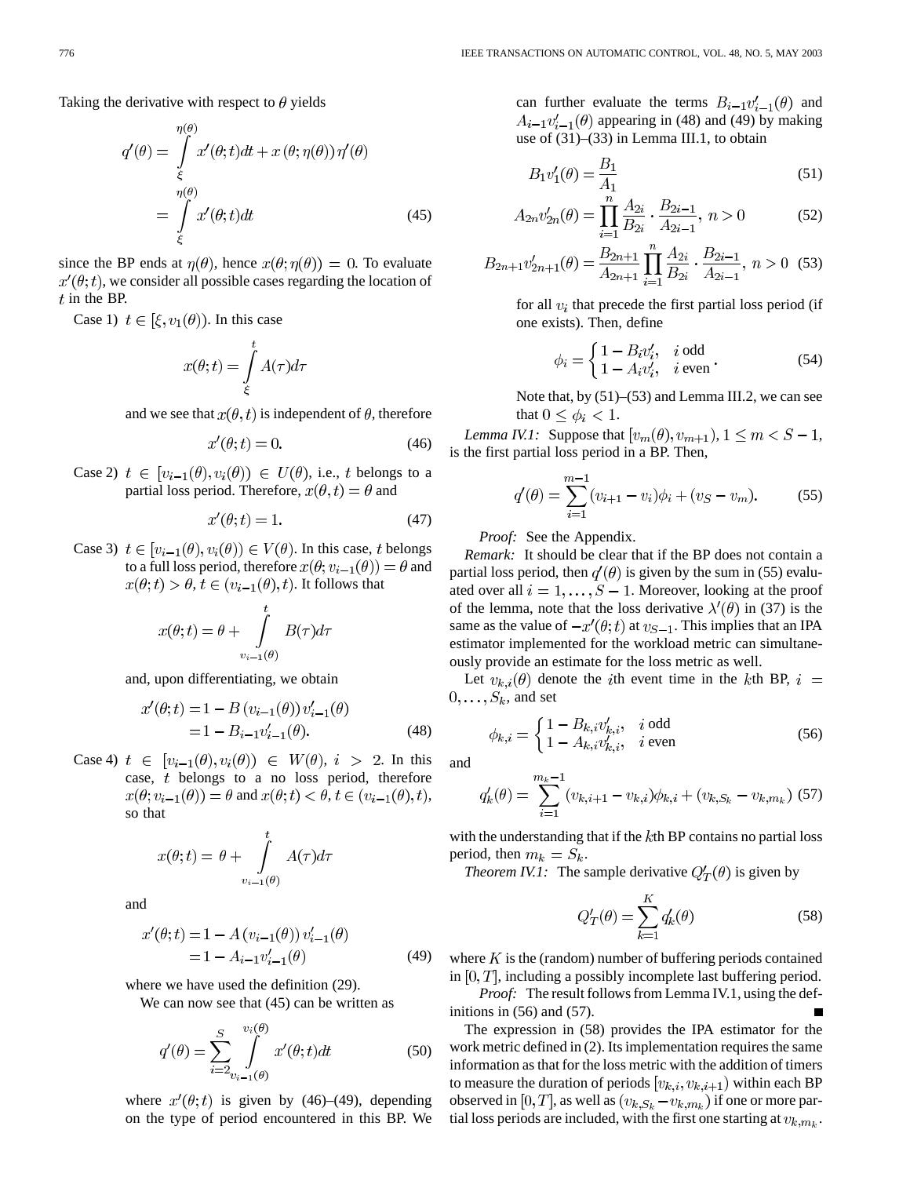Taking the derivative with respect to  $\theta$  yields

$$
q'(\theta) = \int_{\xi}^{\eta(\theta)} x'(\theta; t)dt + x(\theta; \eta(\theta))\eta'(\theta)
$$

$$
= \int_{\xi}^{\eta(\theta)} x'(\theta; t)dt
$$
(45)

since the BP ends at  $\eta(\theta)$ , hence  $x(\theta; \eta(\theta)) = 0$ . To evaluate  $x'(\theta; t)$ , we consider all possible cases regarding the location of  $t$  in the BP.

Case 1)  $t \in [\xi, v_1(\theta))$ . In this case

$$
x(\theta; t) = \int_{\xi}^{t} A(\tau) d\tau
$$

and we see that  $x(\theta, t)$  is independent of  $\theta$ , therefore

$$
x'(\theta; t) = 0.\t(46)
$$

Case 2)  $t \in [v_{i-1}(\theta), v_i(\theta)) \in U(\theta)$ , i.e., t belongs to a partial loss period. Therefore,  $x(\theta, t) = \theta$  and

$$
x'(\theta; t) = 1.
$$
\n<sup>(47)</sup>

Case 3)  $t \in [v_{i-1}(\theta), v_i(\theta)) \in V(\theta)$ . In this case, t belongs to a full loss period, therefore  $x(\theta; v_{i-1}(\theta)) = \theta$  and  $x(\theta; t) > \theta, t \in (v_{i-1}(\theta), t)$ . It follows that

$$
x(\theta; t) = \theta + \int_{v_{i-1}(\theta)}^{t} B(\tau) d\tau
$$

and, upon differentiating, we obtain

$$
x'(\theta; t) = 1 - B(v_{i-1}(\theta)) v'_{i-1}(\theta)
$$
  
= 1 - B\_{i-1} v'\_{i-1}(\theta). (48)

Case 4)  $t \in [v_{i-1}(\theta), v_i(\theta)) \in W(\theta), i > 2$ . In this case,  $t$  belongs to a no loss period, therefore  $x(\theta; v_{i-1}(\theta)) = \theta$  and  $x(\theta; t) < \theta, t \in (v_{i-1}(\theta), t)$ , so that

$$
x(\theta; t) = \theta + \int_{v_{i-1}(\theta)}^{t} A(\tau) d\tau
$$

and

$$
x'(\theta; t) = 1 - A(v_{i-1}(\theta))v'_{i-1}(\theta)
$$
  
= 1 - A\_{i-1}v'\_{i-1}(\theta) (49)

where we have used the definition (29).

We can now see that  $(45)$  can be written as

$$
q'(\theta) = \sum_{i=2}^{S} \int_{v_{i-1}(\theta)}^{v_i(\theta)} x'(\theta; t) dt
$$
 (50)

where  $x'(\theta; t)$  is given by (46)–(49), depending on the type of period encountered in this BP. We can further evaluate the terms  $B_{i-1}v'_{i-1}(\theta)$  and  $A_{i-1}v'_{i-1}(\theta)$  appearing in (48) and (49) by making use of (31)–(33) in Lemma III.1, to obtain

$$
B_1 v_1'(\theta) = \frac{B_1}{A_1}
$$
 (51)

$$
A_{2n}v'_{2n}(\theta) = \prod_{i=1}^{n} \frac{A_{2i}}{B_{2i}} \cdot \frac{B_{2i-1}}{A_{2i-1}}, \ n > 0 \tag{52}
$$

$$
B_{2n+1}v'_{2n+1}(\theta) = \frac{B_{2n+1}}{A_{2n+1}} \prod_{i=1}^{n} \frac{A_{2i}}{B_{2i}} \cdot \frac{B_{2i-1}}{A_{2i-1}}, \ n > 0 \tag{53}
$$

for all  $v_i$  that precede the first partial loss period (if one exists). Then, define

$$
\phi_i = \begin{cases} 1 - B_i v_i', & i \text{ odd} \\ 1 - A_i v_i', & i \text{ even} \end{cases} .
$$
 (54)

Note that, by (51)–(53) and Lemma III.2, we can see that  $0 \leq \phi_i < 1$ .

*Lemma IV.1:* Suppose that  $[v_m(\theta), v_{m+1}), 1 \leq m < S - 1$ , is the first partial loss period in a BP. Then,

$$
q'(\theta) = \sum_{i=1}^{m-1} (v_{i+1} - v_i)\phi_i + (v_S - v_m). \tag{55}
$$

*Proof:* See the Appendix.

 $m_1$   $-1$ 

 $\overline{\mathcal{A}}$ 

*Remark:* It should be clear that if the BP does not contain a partial loss period, then  $q'(\theta)$  is given by the sum in (55) evaluated over all  $i = 1, \ldots, S - 1$ . Moreover, looking at the proof of the lemma, note that the loss derivative  $\lambda'(\theta)$  in (37) is the same as the value of  $-x'(\theta; t)$  at  $v_{S-1}$ . This implies that an IPA estimator implemented for the workload metric can simultaneously provide an estimate for the loss metric as well.

Let  $v_{k,i}(\theta)$  denote the *i*th event time in the *k*th BP,  $i =$  $0, \ldots, S_k$ , and set

$$
\phi_{k,i} = \begin{cases} 1 - B_{k,i} v'_{k,i}, & i \text{ odd} \\ 1 - A_{k,i} v'_{k,i}, & i \text{ even} \end{cases}
$$
(56)

and

$$
q'_{k}(\theta) = \sum_{i=1}^{m_{k}-1} (v_{k,i+1} - v_{k,i})\phi_{k,i} + (v_{k,S_{k}} - v_{k,m_{k}}) \tag{57}
$$

with the understanding that if the  $k$ th BP contains no partial loss period, then  $m_k = S_k$ .

*Theorem IV.1:* The sample derivative  $Q'_T(\theta)$  is given by

$$
Q'_T(\theta) = \sum_{k=1}^K q'_k(\theta)
$$
\n(58)

where  $K$  is the (random) number of buffering periods contained in  $[0, T]$ , including a possibly incomplete last buffering period.

*Proof:* The result follows from Lemma IV.1, using the definitions in  $(56)$  and  $(57)$ .

The expression in (58) provides the IPA estimator for the work metric defined in (2). Its implementation requires the same information as that for the loss metric with the addition of timers to measure the duration of periods  $[v_{k,i}, v_{k,i+1}]$  within each BP observed in [0, T], as well as  $(v_{k,S_k} - v_{k,m_k})$  if one or more partial loss periods are included, with the first one starting at  $v_{k,m_k}$ .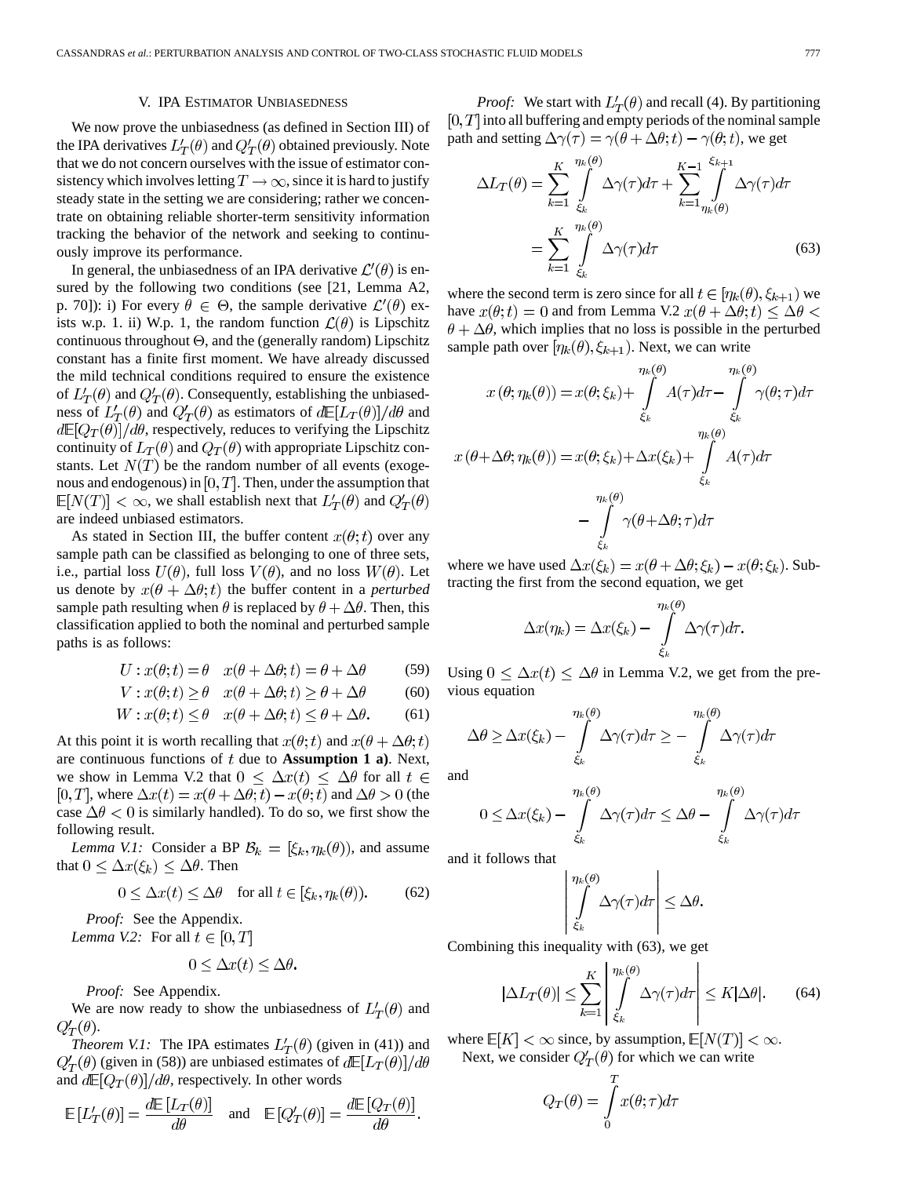#### V. IPA ESTIMATOR UNBIASEDNESS

We now prove the unbiasedness (as defined in Section III) of the IPA derivatives  $L'_T(\theta)$  and  $Q'_T(\theta)$  obtained previously. Note that we do not concern ourselves with the issue of estimator consistency which involves letting  $T \to \infty$ , since it is hard to justify steady state in the setting we are considering; rather we concentrate on obtaining reliable shorter-term sensitivity information tracking the behavior of the network and seeking to continuously improve its performance.

In general, the unbiasedness of an IPA derivative  $\mathcal{L}'(\theta)$  is ensured by the following two conditions (see [21, Lemma A2, p. 70]): i) For every  $\theta \in \Theta$ , the sample derivative  $\mathcal{L}'(\theta)$  exists w.p. 1. ii) W.p. 1, the random function  $\mathcal{L}(\theta)$  is Lipschitz continuous throughout  $\Theta$ , and the (generally random) Lipschitz constant has a finite first moment. We have already discussed the mild technical conditions required to ensure the existence of  $L'_T(\theta)$  and  $Q'_T(\theta)$ . Consequently, establishing the unbiasedness of  $L'_T(\theta)$  and  $Q'_T(\theta)$  as estimators of  $dE[L_T(\theta)]/d\theta$  and  $d\mathbb{E}[Q_T(\theta)]/d\theta$ , respectively, reduces to verifying the Lipschitz continuity of  $L_T(\theta)$  and  $Q_T(\theta)$  with appropriate Lipschitz constants. Let  $N(T)$  be the random number of all events (exogenous and endogenous) in  $[0, T]$ . Then, under the assumption that  $\mathbb{E}[N(T)] < \infty$ , we shall establish next that  $L'_T(\theta)$  and  $Q'_T(\theta)$ are indeed unbiased estimators.

As stated in Section III, the buffer content  $x(\theta; t)$  over any sample path can be classified as belonging to one of three sets, i.e., partial loss  $U(\theta)$ , full loss  $V(\theta)$ , and no loss  $W(\theta)$ . Let us denote by  $x(\theta + \Delta \theta; t)$  the buffer content in a *perturbed* sample path resulting when  $\theta$  is replaced by  $\theta + \Delta\theta$ . Then, this classification applied to both the nominal and perturbed sample paths is as follows:

$$
U: x(\theta; t) = \theta \quad x(\theta + \Delta\theta; t) = \theta + \Delta\theta \tag{59}
$$

$$
V: x(\theta; t) \ge \theta \quad x(\theta + \Delta\theta; t) \ge \theta + \Delta\theta \tag{60}
$$

$$
W: x(\theta; t) \le \theta \quad x(\theta + \Delta\theta; t) \le \theta + \Delta\theta. \tag{61}
$$

At this point it is worth recalling that  $x(\theta; t)$  and  $x(\theta + \Delta \theta; t)$ are continuous functions of  $t$  due to **Assumption 1 a**). Next, we show in Lemma V.2 that  $0 \leq \Delta x(t) \leq \Delta \theta$  for all  $t \in$ [0, T], where  $\Delta x(t) = x(\theta + \Delta \theta; t) - x(\theta; t)$  and  $\Delta \theta > 0$  (the case  $\Delta \theta$  < 0 is similarly handled). To do so, we first show the following result.

*Lemma V.1:* Consider a BP  $\mathcal{B}_k = [\xi_k, \eta_k(\theta)]$ , and assume that  $0 \leq \Delta x(\xi_k) \leq \Delta \theta$ . Then

$$
0 \le \Delta x(t) \le \Delta \theta \quad \text{for all } t \in [\xi_k, \eta_k(\theta)).\tag{62}
$$

*Proof:* See the Appendix.

*Lemma V.2:* For all  $t \in [0, T]$ 

$$
0 \le \Delta x(t) \le \Delta \theta.
$$

*Proof:* See Appendix.

We are now ready to show the unbiasedness of  $L'_{\mathcal{T}}(\theta)$  and  $Q'_T(\theta)$ .

*Theorem V.1:* The IPA estimates  $L'_T(\theta)$  (given in (41)) and  $Q'_T(\theta)$  (given in (58)) are unbiased estimates of  $dE[L_T(\theta)]/d\theta$ and  $d\mathbb{E}[Q_T(\theta)]/d\theta$ , respectively. In other words

$$
\mathbb{E}\left[L'_T(\theta)\right] = \frac{d\mathbb{E}\left[L_T(\theta)\right]}{d\theta} \quad \text{and} \quad \mathbb{E}\left[Q'_T(\theta)\right] = \frac{d\mathbb{E}\left[Q_T(\theta)\right]}{d\theta}
$$

*Proof:* We start with  $L'_T(\theta)$  and recall (4). By partitioning  $[0, T]$  into all buffering and empty periods of the nominal sample path and setting  $\Delta \gamma(\tau) = \gamma(\theta + \Delta \theta; t) - \gamma(\theta; t)$ , we get

$$
\Delta L_T(\theta) = \sum_{k=1}^K \int_{\xi_k}^{\eta_k(\theta)} \Delta \gamma(\tau) d\tau + \sum_{k=1}^{K-1} \int_{\eta_k(\theta)}^{\xi_{k+1}} \Delta \gamma(\tau) d\tau
$$

$$
= \sum_{k=1}^K \int_{\xi_k}^{\eta_k(\theta)} \Delta \gamma(\tau) d\tau
$$
(63)

where the second term is zero since for all  $t \in [\eta_k(\theta), \xi_{k+1})$  we have  $x(\theta; t) = 0$  and from Lemma V.2  $x(\theta + \Delta\theta; t) \leq \Delta\theta$  $\theta + \Delta\theta$ , which implies that no loss is possible in the perturbed sample path over  $[\eta_k(\theta), \xi_{k+1})$ . Next, we can write

$$
x(\theta; \eta_k(\theta)) = x(\theta; \xi_k) + \int_{\xi_k}^{\eta_k(\theta)} A(\tau) d\tau - \int_{\xi_k}^{\eta_k(\theta)} \gamma(\theta; \tau) d\tau
$$

$$
x(\theta + \Delta\theta; \eta_k(\theta)) = x(\theta; \xi_k) + \Delta x(\xi_k) + \int_{\xi_k}^{\eta_k(\theta)} A(\tau) d\tau
$$

$$
- \int_{\xi_k}^{\eta_k(\theta)} \gamma(\theta + \Delta\theta; \tau) d\tau
$$

where we have used  $\Delta x(\xi_k) = x(\theta + \Delta \theta; \xi_k) - x(\theta; \xi_k)$ . Subtracting the first from the second equation, we get

$$
\Delta x(\eta_k) = \Delta x(\xi_k) - \int\limits_{\xi_k}^{\eta_k(\theta)} \Delta \gamma(\tau) d\tau.
$$

Using  $0 \leq \Delta x(t) \leq \Delta \theta$  in Lemma V.2, we get from the previous equation

$$
\Delta \theta \geq \Delta x(\xi_k) - \int_{\xi_k}^{\eta_k(\theta)} \Delta \gamma(\tau) d\tau \geq - \int_{\xi_k}^{\eta_k(\theta)} \Delta \gamma(\tau) d\tau
$$

and

$$
0 \leq \Delta x(\xi_k) - \int_{\xi_k}^{\eta_k(\theta)} \Delta \gamma(\tau) d\tau \leq \Delta \theta - \int_{\xi_k}^{\eta_k(\theta)} \Delta \gamma(\tau) d\tau
$$

and it follows that

$$
\int_{\xi_k}^{\eta_k(\theta)} \Delta \gamma(\tau) d\tau \Bigg| \leq \Delta \theta.
$$

Combining this inequality with (63), we get

$$
|\Delta L_T(\theta)| \le \sum_{k=1}^K \left| \int_{\xi_k}^{\eta_k(\theta)} \Delta \gamma(\tau) d\tau \right| \le K |\Delta \theta|. \tag{64}
$$

where  $\mathbb{E}[K] < \infty$  since, by assumption,  $\mathbb{E}[N(T)] < \infty$ . Next, we consider  $Q'_T(\theta)$  for which we can write

$$
Q_T(\theta) = \int_0^T x(\theta; \tau) d\tau
$$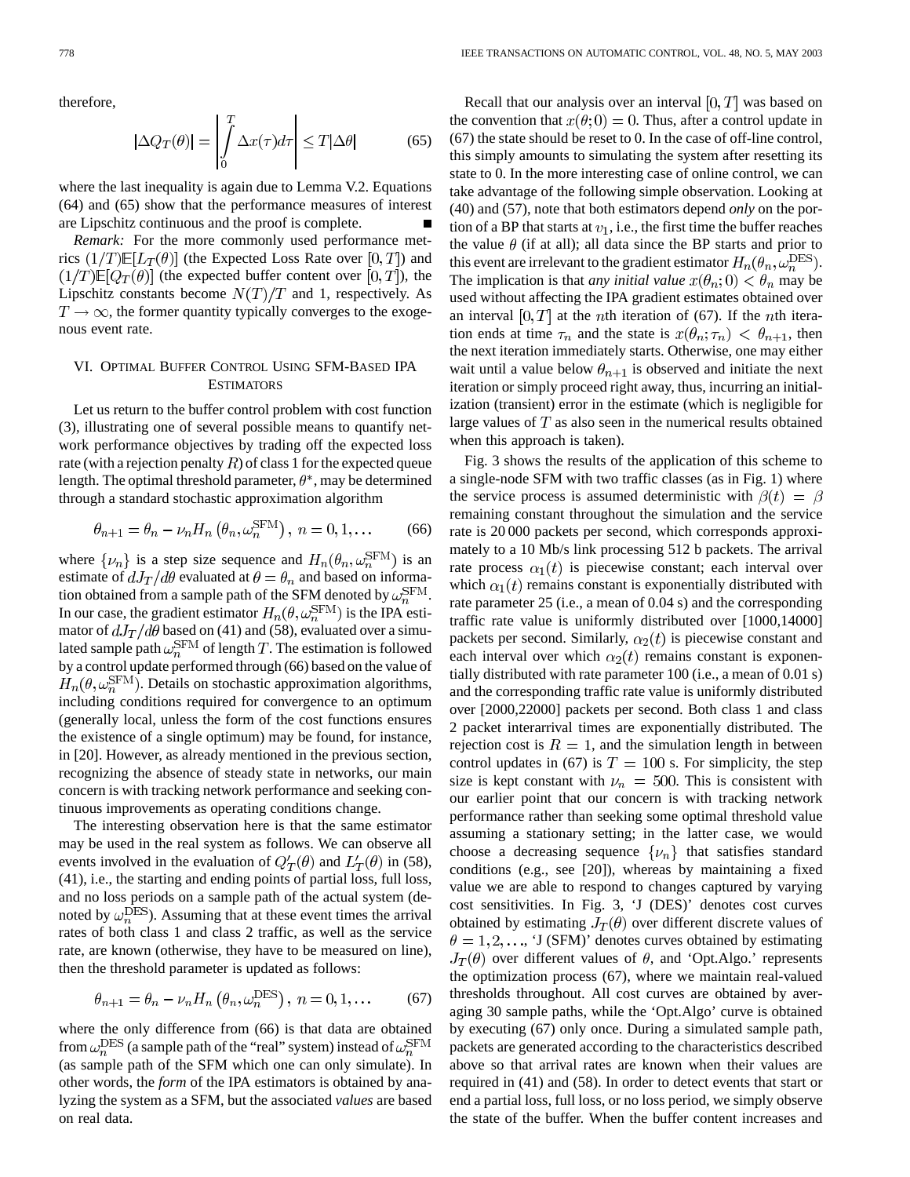therefore,

$$
|\Delta Q_T(\theta)| = \left| \int_0^T \Delta x(\tau) d\tau \right| \le T|\Delta \theta| \tag{65}
$$

where the last inequality is again due to Lemma V.2. Equations (64) and (65) show that the performance measures of interest are Lipschitz continuous and the proof is complete.

*Remark:* For the more commonly used performance metrics  $(1/T)E[L_T(\theta)]$  (the Expected Loss Rate over [0, T]) and  $(1/T)\mathbb{E}[Q_T(\theta)]$  (the expected buffer content over  $[0, T]$ ), the Lipschitz constants become  $N(T)/T$  and 1, respectively. As  $T \rightarrow \infty$ , the former quantity typically converges to the exogenous event rate.

# VI. OPTIMAL BUFFER CONTROL USING SFM-BASED IPA **ESTIMATORS**

Let us return to the buffer control problem with cost function (3), illustrating one of several possible means to quantify network performance objectives by trading off the expected loss rate (with a rejection penalty  $R$ ) of class 1 for the expected queue length. The optimal threshold parameter,  $\theta^*$ , may be determined through a standard stochastic approximation algorithm

$$
\theta_{n+1} = \theta_n - \nu_n H_n \left( \theta_n, \omega_n^{\text{SFM}} \right), \ n = 0, 1, \dots \tag{66}
$$

where  $\{\nu_n\}$  is a step size sequence and  $H_n(\theta_n, \omega_n^{\text{SFM}})$  is an estimate of  $dJ_T/d\theta$  evaluated at  $\theta = \theta_n$  and based on information obtained from a sample path of the SFM denoted by  $\omega_n^{\text{SFM}}$ . In our case, the gradient estimator  $H_n(\theta, \omega_n^{\text{SFM}})$  is the IPA estimator of  $dJ_T/d\theta$  based on (41) and (58), evaluated over a simulated sample path  $\omega_n^{\text{SFM}}$  of length T. The estimation is followed by a control update performed through (66) based on the value of  $H_n(\theta, \omega_n^{\text{SFM}})$ . Details on stochastic approximation algorithms, including conditions required for convergence to an optimum (generally local, unless the form of the cost functions ensures the existence of a single optimum) may be found, for instance, in [20]. However, as already mentioned in the previous section, recognizing the absence of steady state in networks, our main concern is with tracking network performance and seeking continuous improvements as operating conditions change.

The interesting observation here is that the same estimator may be used in the real system as follows. We can observe all events involved in the evaluation of  $Q'_T(\theta)$  and  $L'_T(\theta)$  in (58), (41), i.e., the starting and ending points of partial loss, full loss, and no loss periods on a sample path of the actual system (denoted by  $\omega_n^{\text{DES}}$ ). Assuming that at these event times the arrival rates of both class 1 and class 2 traffic, as well as the service rate, are known (otherwise, they have to be measured on line), then the threshold parameter is updated as follows:

$$
\theta_{n+1} = \theta_n - \nu_n H_n \left( \theta_n, \omega_n^{\text{DES}} \right), \ n = 0, 1, \dots \tag{67}
$$

where the only difference from (66) is that data are obtained from  $\omega_n^{\text{DES}}$  (a sample path of the "real" system) instead of  $\omega_n^{\text{SFM}}$ (as sample path of the SFM which one can only simulate). In other words, the *form* of the IPA estimators is obtained by analyzing the system as a SFM, but the associated *values* are based on real data.

Recall that our analysis over an interval  $[0, T]$  was based on the convention that  $x(\theta; 0) = 0$ . Thus, after a control update in (67) the state should be reset to 0. In the case of off-line control, this simply amounts to simulating the system after resetting its state to 0. In the more interesting case of online control, we can take advantage of the following simple observation. Looking at (40) and (57), note that both estimators depend *only* on the portion of a BP that starts at  $v_1$ , i.e., the first time the buffer reaches the value  $\theta$  (if at all); all data since the BP starts and prior to this event are irrelevant to the gradient estimator  $H_n(\theta_n,\omega_n^{\text{DES}})$ . The implication is that *any initial value*  $x(\theta_n; 0) < \theta_n$  may be used without affecting the IPA gradient estimates obtained over an interval  $[0, T]$  at the *n*th iteration of (67). If the *n*th iteration ends at time  $\tau_n$  and the state is  $x(\theta_n; \tau_n) < \theta_{n+1}$ , then the next iteration immediately starts. Otherwise, one may either wait until a value below  $\theta_{n+1}$  is observed and initiate the next iteration or simply proceed right away, thus, incurring an initialization (transient) error in the estimate (which is negligible for large values of  $T$  as also seen in the numerical results obtained when this approach is taken).

Fig. 3 shows the results of the application of this scheme to a single-node SFM with two traffic classes (as in Fig. 1) where the service process is assumed deterministic with  $\beta(t) = \beta$ remaining constant throughout the simulation and the service rate is 20 000 packets per second, which corresponds approximately to a 10 Mb/s link processing 512 b packets. The arrival rate process  $\alpha_1(t)$  is piecewise constant; each interval over which  $\alpha_1(t)$  remains constant is exponentially distributed with rate parameter 25 (i.e., a mean of 0.04 s) and the corresponding traffic rate value is uniformly distributed over [1000,14000] packets per second. Similarly,  $\alpha_2(t)$  is piecewise constant and each interval over which  $\alpha_2(t)$  remains constant is exponentially distributed with rate parameter 100 (i.e., a mean of 0.01 s) and the corresponding traffic rate value is uniformly distributed over [2000,22000] packets per second. Both class 1 and class 2 packet interarrival times are exponentially distributed. The rejection cost is  $R = 1$ , and the simulation length in between control updates in (67) is  $T = 100$  s. For simplicity, the step size is kept constant with  $\nu_n = 500$ . This is consistent with our earlier point that our concern is with tracking network performance rather than seeking some optimal threshold value assuming a stationary setting; in the latter case, we would choose a decreasing sequence  $\{\nu_n\}$  that satisfies standard conditions (e.g., see [20]), whereas by maintaining a fixed value we are able to respond to changes captured by varying cost sensitivities. In Fig. 3, 'J (DES)' denotes cost curves obtained by estimating  $J_T(\theta)$  over different discrete values of  $\theta = 1, 2, \dots$ , 'J (SFM)' denotes curves obtained by estimating  $J_T(\theta)$  over different values of  $\theta$ , and 'Opt.Algo.' represents the optimization process (67), where we maintain real-valued thresholds throughout. All cost curves are obtained by averaging 30 sample paths, while the 'Opt.Algo' curve is obtained by executing (67) only once. During a simulated sample path, packets are generated according to the characteristics described above so that arrival rates are known when their values are required in (41) and (58). In order to detect events that start or end a partial loss, full loss, or no loss period, we simply observe the state of the buffer. When the buffer content increases and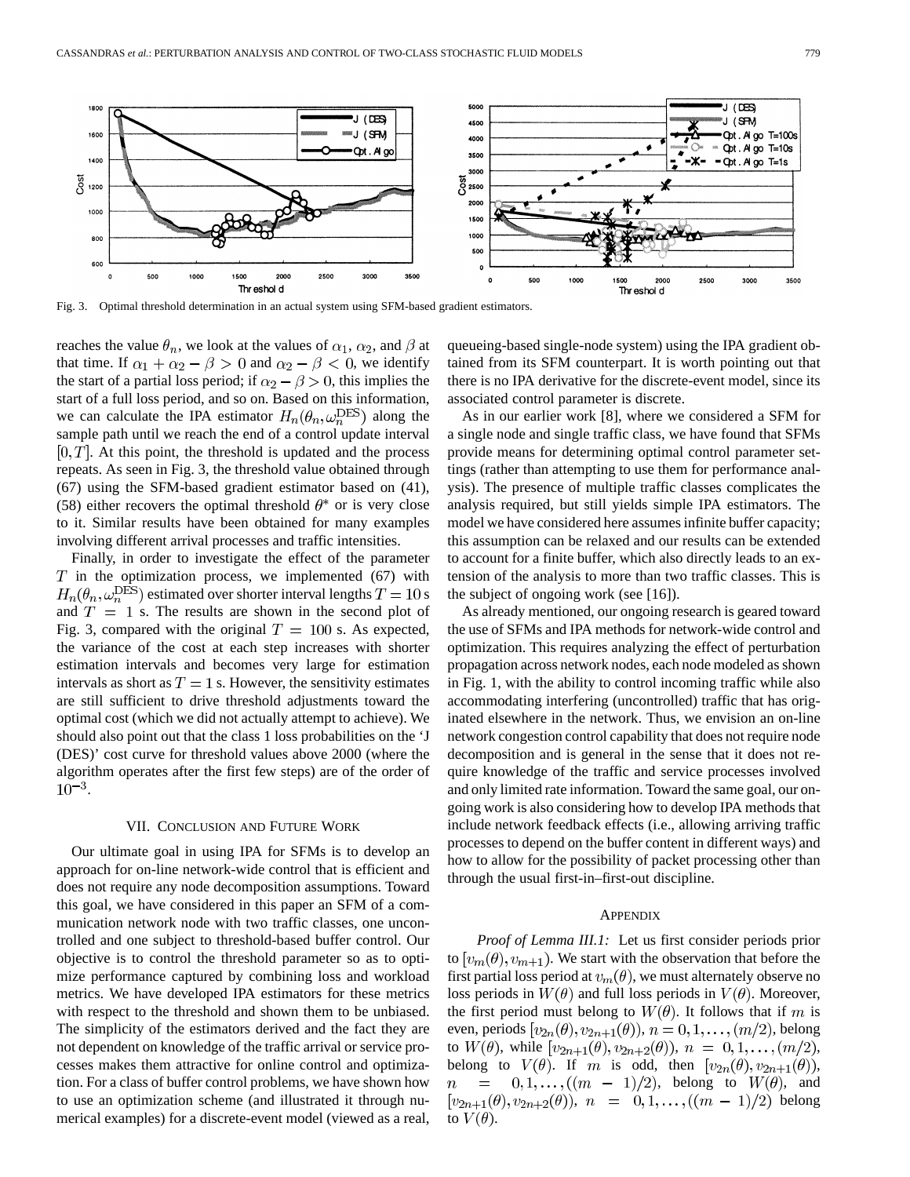

Fig. 3. Optimal threshold determination in an actual system using SFM-based gradient estimators.

reaches the value  $\theta_n$ , we look at the values of  $\alpha_1$ ,  $\alpha_2$ , and  $\beta$  at that time. If  $\alpha_1 + \alpha_2 - \beta > 0$  and  $\alpha_2 - \beta < 0$ , we identify the start of a partial loss period; if  $\alpha_2 - \beta > 0$ , this implies the start of a full loss period, and so on. Based on this information, we can calculate the IPA estimator  $H_n(\theta_n, \omega_n^{\text{DES}})$  along the sample path until we reach the end of a control update interval  $[0, T]$ . At this point, the threshold is updated and the process repeats. As seen in Fig. 3, the threshold value obtained through (67) using the SFM-based gradient estimator based on (41), (58) either recovers the optimal threshold  $\theta^*$  or is very close to it. Similar results have been obtained for many examples involving different arrival processes and traffic intensities.

Finally, in order to investigate the effect of the parameter  $T$  in the optimization process, we implemented (67) with estimated over shorter interval lengths  $T = 10$  s and  $T = 1$  s. The results are shown in the second plot of Fig. 3, compared with the original  $T = 100$  s. As expected, the variance of the cost at each step increases with shorter estimation intervals and becomes very large for estimation intervals as short as  $T = 1$  s. However, the sensitivity estimates are still sufficient to drive threshold adjustments toward the optimal cost (which we did not actually attempt to achieve). We should also point out that the class 1 loss probabilities on the 'J (DES)' cost curve for threshold values above 2000 (where the algorithm operates after the first few steps) are of the order of  $10^{-3}$ .

#### VII. CONCLUSION AND FUTURE WORK

Our ultimate goal in using IPA for SFMs is to develop an approach for on-line network-wide control that is efficient and does not require any node decomposition assumptions. Toward this goal, we have considered in this paper an SFM of a communication network node with two traffic classes, one uncontrolled and one subject to threshold-based buffer control. Our objective is to control the threshold parameter so as to optimize performance captured by combining loss and workload metrics. We have developed IPA estimators for these metrics with respect to the threshold and shown them to be unbiased. The simplicity of the estimators derived and the fact they are not dependent on knowledge of the traffic arrival or service processes makes them attractive for online control and optimization. For a class of buffer control problems, we have shown how to use an optimization scheme (and illustrated it through numerical examples) for a discrete-event model (viewed as a real, queueing-based single-node system) using the IPA gradient obtained from its SFM counterpart. It is worth pointing out that there is no IPA derivative for the discrete-event model, since its associated control parameter is discrete.

As in our earlier work [8], where we considered a SFM for a single node and single traffic class, we have found that SFMs provide means for determining optimal control parameter settings (rather than attempting to use them for performance analysis). The presence of multiple traffic classes complicates the analysis required, but still yields simple IPA estimators. The model we have considered here assumes infinite buffer capacity; this assumption can be relaxed and our results can be extended to account for a finite buffer, which also directly leads to an extension of the analysis to more than two traffic classes. This is the subject of ongoing work (see [16]).

As already mentioned, our ongoing research is geared toward the use of SFMs and IPA methods for network-wide control and optimization. This requires analyzing the effect of perturbation propagation across network nodes, each node modeled as shown in Fig. 1, with the ability to control incoming traffic while also accommodating interfering (uncontrolled) traffic that has originated elsewhere in the network. Thus, we envision an on-line network congestion control capability that does not require node decomposition and is general in the sense that it does not require knowledge of the traffic and service processes involved and only limited rate information. Toward the same goal, our ongoing work is also considering how to develop IPA methods that include network feedback effects (i.e., allowing arriving traffic processes to depend on the buffer content in different ways) and how to allow for the possibility of packet processing other than through the usual first-in–first-out discipline.

#### **APPENDIX**

*Proof of Lemma III.1:* Let us first consider periods prior to  $[v_m(\theta), v_{m+1})$ . We start with the observation that before the first partial loss period at  $v_m(\theta)$ , we must alternately observe no loss periods in  $W(\theta)$  and full loss periods in  $V(\theta)$ . Moreover, the first period must belong to  $W(\theta)$ . It follows that if m is even, periods  $[v_{2n}(\theta), v_{2n+1}(\theta)), n = 0, 1, \ldots, (m/2)$ , belong to  $W(\theta)$ , while  $[v_{2n+1}(\theta), v_{2n+2}(\theta)), n = 0, 1, ..., (m/2),$ belong to  $V(\theta)$ . If m is odd, then  $[v_{2n}(\theta), v_{2n+1}(\theta)),$  $0, 1, \ldots, ((m - 1)/2)$ , belong to  $W(\theta)$ , and  $\overline{n}$  $=$  $[v_{2n+1}(\theta), v_{2n+2}(\theta)), n = 0, 1, \ldots, ((m-1)/2)$  belong to  $V(\theta)$ .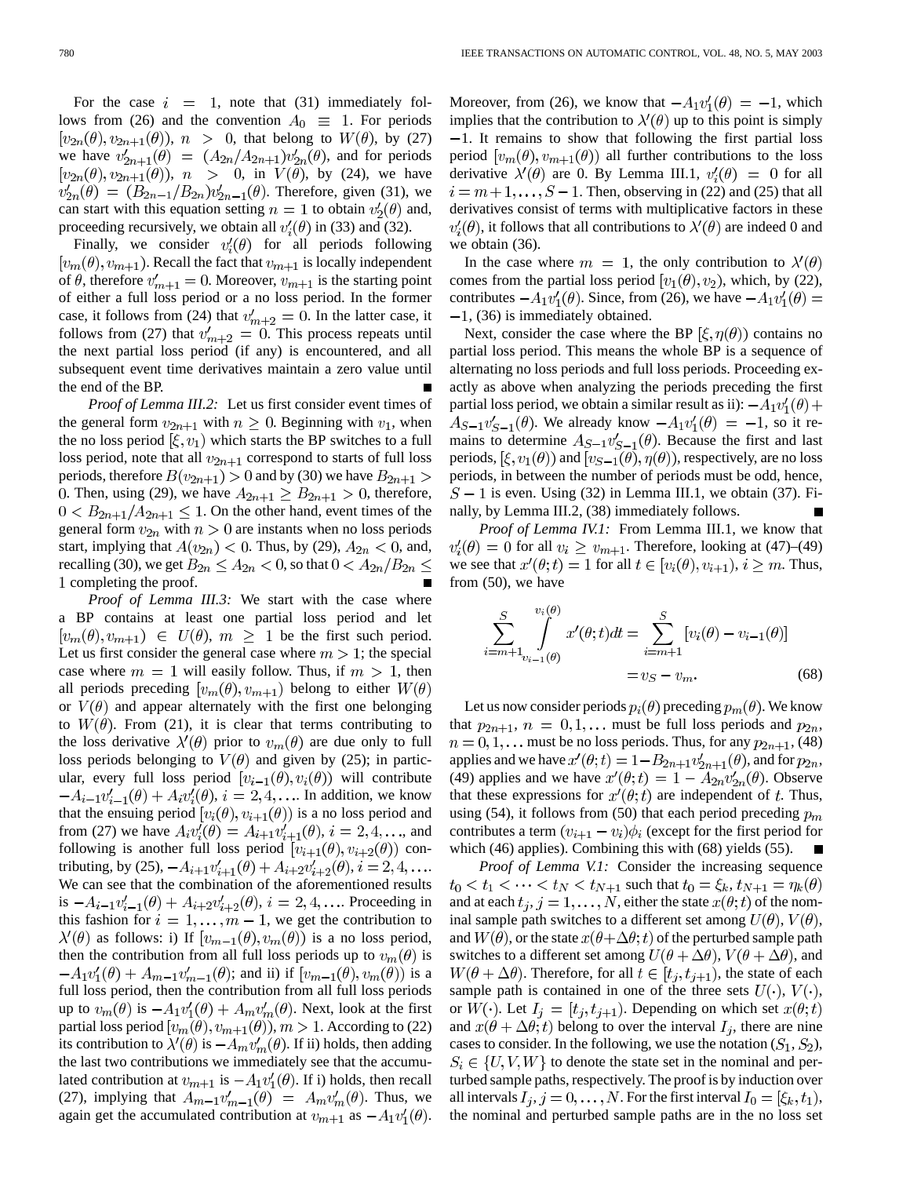For the case  $i = 1$ , note that (31) immediately follows from (26) and the convention  $A_0 \equiv 1$ . For periods  $[v_{2n}(\theta), v_{2n+1}(\theta)), n > 0$ , that belong to  $W(\theta)$ , by (27) we have  $v'_{2n+1}(\theta) = (A_{2n}/A_{2n+1})v'_{2n}(\theta)$ , and for periods  $[v_{2n}(\theta), v_{2n+1}(\theta)), n > 0$ , in  $V(\theta)$ , by (24), we have  $v'_{2n}(\theta) = (B_{2n-1}/B_{2n})v'_{2n-1}(\theta)$ . Therefore, given (31), we can start with this equation setting  $n = 1$  to obtain  $v_2'(\theta)$  and, proceeding recursively, we obtain all  $v_i'(\theta)$  in (33) and (32).

Finally, we consider  $v_i'(\theta)$  for all periods following  $[v_m(\theta), v_{m+1})$ . Recall the fact that  $v_{m+1}$  is locally independent of  $\theta$ , therefore  $v'_{m+1} = 0$ . Moreover,  $v_{m+1}$  is the starting point of either a full loss period or a no loss period. In the former case, it follows from (24) that  $v'_{m+2} = 0$ . In the latter case, it follows from (27) that  $v'_{m+2} = 0$ . This process repeats until the next partial loss period (if any) is encountered, and all subsequent event time derivatives maintain a zero value until the end of the BP.

*Proof of Lemma III.2:* Let us first consider event times of the general form  $v_{2n+1}$  with  $n \geq 0$ . Beginning with  $v_1$ , when the no loss period  $(\xi, v_1)$  which starts the BP switches to a full loss period, note that all  $v_{2n+1}$  correspond to starts of full loss periods, therefore  $B(v_{2n+1}) > 0$  and by (30) we have  $B_{2n+1} >$ 0. Then, using (29), we have  $A_{2n+1} \geq B_{2n+1} > 0$ , therefore,  $0 < B_{2n+1}/A_{2n+1} \leq 1$ . On the other hand, event times of the general form  $v_{2n}$  with  $n > 0$  are instants when no loss periods start, implying that  $A(v_{2n}) < 0$ . Thus, by (29),  $A_{2n} < 0$ , and, recalling (30), we get  $B_{2n} \leq A_{2n} < 0$ , so that  $0 < A_{2n}/B_{2n} \leq$ 1 completing the proof.

*Proof of Lemma III.3:* We start with the case where a BP contains at least one partial loss period and let  $[v_m(\theta), v_{m+1}) \in U(\theta), m \geq 1$  be the first such period. Let us first consider the general case where  $m > 1$ ; the special case where  $m = 1$  will easily follow. Thus, if  $m > 1$ , then all periods preceding  $[v_m(\theta), v_{m+1}]$  belong to either  $W(\theta)$ or  $V(\theta)$  and appear alternately with the first one belonging to  $W(\theta)$ . From (21), it is clear that terms contributing to the loss derivative  $\lambda'(\theta)$  prior to  $v_m(\theta)$  are due only to full loss periods belonging to  $V(\theta)$  and given by (25); in particular, every full loss period  $[v_{i-1}(\theta), v_i(\theta))$  will contribute  $-A_{i-1}v'_{i-1}(\theta) + A_i v'_{i}(\theta), i = 2, 4, \dots$  In addition, we know that the ensuing period  $[v_i(\theta), v_{i+1}(\theta))$  is a no loss period and from (27) we have  $A_i v_i'(\theta) = A_{i+1} v_{i+1}'(\theta), i = 2, 4, ...$ , and following is another full loss period  $[v_{i+1}(\theta), v_{i+2}(\theta))$  contributing, by (25),  $-A_{i+1}v'_{i+1}(\theta) + A_{i+2}v'_{i+2}(\theta)$ ,  $i = 2, 4, ...$ We can see that the combination of the aforementioned results is  $-A_{i-1}v'_{i-1}(\theta) + A_{i+2}v'_{i+2}(\theta)$ ,  $i = 2, 4, ...$  Proceeding in this fashion for  $i = 1, \ldots, m - 1$ , we get the contribution to  $\lambda'(\theta)$  as follows: i) If  $[v_{m-1}(\theta), v_m(\theta))$  is a no loss period, then the contribution from all full loss periods up to  $v_m(\theta)$  is  $-A_1v'_1(\theta) + A_{m-1}v'_{m-1}(\theta)$ ; and ii) if  $[v_{m-1}(\theta), v_m(\theta)]$  is a full loss period, then the contribution from all full loss periods up to  $v_m(\theta)$  is  $-A_1v'_1(\theta) + A_mv'_m(\theta)$ . Next, look at the first partial loss period  $[v_m(\theta), v_{m+1}(\theta)), m > 1$ . According to (22) its contribution to  $\lambda'(\theta)$  is  $-A_m v'_m(\theta)$ . If ii) holds, then adding the last two contributions we immediately see that the accumulated contribution at  $v_{m+1}$  is  $-A_1v'_1(\theta)$ . If i) holds, then recall (27), implying that  $A_{m-1}v'_{m-1}(\theta) = A_m v'_m(\theta)$ . Thus, we again get the accumulated contribution at  $v_{m+1}$  as  $-A_1v'_1(\theta)$ .

Moreover, from (26), we know that  $-A_1v'_1(\theta) = -1$ , which implies that the contribution to  $\lambda'(\theta)$  up to this point is simply  $-1$ . It remains to show that following the first partial loss period  $[v_m(\theta), v_{m+1}(\theta)]$  all further contributions to the loss derivative  $\lambda'(\theta)$  are 0. By Lemma III.1,  $v_i'(\theta) = 0$  for all  $i = m+1, \ldots, S-1$ . Then, observing in (22) and (25) that all derivatives consist of terms with multiplicative factors in these  $v'_{i}(\theta)$ , it follows that all contributions to  $\lambda'(\theta)$  are indeed 0 and we obtain (36).

In the case where  $m = 1$ , the only contribution to  $\lambda'(\theta)$ comes from the partial loss period  $[v_1(\theta), v_2)$ , which, by (22), contributes  $-A_1v'_1(\theta)$ . Since, from (26), we have  $-A_1v'_1(\theta) =$  $-1$ , (36) is immediately obtained.

Next, consider the case where the BP  $[\xi, \eta(\theta)]$  contains no partial loss period. This means the whole BP is a sequence of alternating no loss periods and full loss periods. Proceeding exactly as above when analyzing the periods preceding the first partial loss period, we obtain a similar result as ii):  $-A_1v'_1(\theta) +$  $A_{S-1}v'_{S-1}(\theta)$ . We already know  $-A_1v'_1(\theta) = -1$ , so it remains to determine  $A_{S-1}v'_{S-1}(\theta)$ . Because the first and last periods,  $[\xi, v_1(\theta)]$  and  $[v_{S-1}(\theta), \eta(\theta)]$ , respectively, are no loss periods, in between the number of periods must be odd, hence,  $S-1$  is even. Using (32) in Lemma III.1, we obtain (37). Finally, by Lemma III.2, (38) immediately follows.

*Proof of Lemma IV.1:* From Lemma III.1, we know that  $v_i'(\theta) = 0$  for all  $v_i \ge v_{m+1}$ . Therefore, looking at (47)–(49) we see that  $x'(\theta; t) = 1$  for all  $t \in [v_i(\theta), v_{i+1}), i \geq m$ . Thus, from (50), we have

$$
\sum_{i=m+1}^{S} \int_{v_i(\theta)}^{v_i(\theta)} x'(\theta; t) dt = \sum_{i=m+1}^{S} [v_i(\theta) - v_{i-1}(\theta)]
$$
  
=  $v_S - v_m$ . (68)

Let us now consider periods  $p_i(\theta)$  preceding  $p_m(\theta)$ . We know that  $p_{2n+1}$ ,  $n = 0, 1, \ldots$  must be full loss periods and  $p_{2n}$ ,  $n = 0, 1, \dots$  must be no loss periods. Thus, for any  $p_{2n+1}$ , (48) applies and we have  $x'(\theta; t) = 1 - B_{2n+1} v'_{2n+1}(\theta)$ , and for  $p_{2n}$ , (49) applies and we have  $x'(\theta; t) = 1 - A_{2n} v'_{2n}(\theta)$ . Observe that these expressions for  $x'(\theta; t)$  are independent of t. Thus, using (54), it follows from (50) that each period preceding  $p_m$ contributes a term  $(v_{i+1} - v_i)\phi_i$  (except for the first period for which (46) applies). Combining this with (68) yields (55).

*Proof of Lemma V.1:* Consider the increasing sequence  $t_0 < t_1 < \cdots < t_N < t_{N+1}$  such that  $t_0 = \xi_k$ ,  $t_{N+1} = \eta_k(\theta)$ and at each  $t_j$ ,  $j = 1, ..., N$ , either the state  $x(\theta; t)$  of the nominal sample path switches to a different set among  $U(\theta)$ ,  $V(\theta)$ , and  $W(\theta)$ , or the state  $x(\theta + \Delta\theta; t)$  of the perturbed sample path switches to a different set among  $U(\theta + \Delta\theta)$ ,  $V(\theta + \Delta\theta)$ , and  $W(\theta + \Delta\theta)$ . Therefore, for all  $t \in [t_j, t_{j+1})$ , the state of each sample path is contained in one of the three sets  $U(\cdot)$ ,  $V(\cdot)$ , or  $W(\cdot)$ . Let  $I_j = [t_j, t_{j+1})$ . Depending on which set  $x(\theta; t)$ and  $x(\theta + \Delta\theta; t)$  belong to over the interval  $I_i$ , there are nine cases to consider. In the following, we use the notation  $(S_1, S_2)$ ,  $S_i \in \{U, V, W\}$  to denote the state set in the nominal and perturbed sample paths, respectively. The proof is by induction over all intervals  $I_j$ ,  $j = 0, \ldots, N$ . For the first interval  $I_0 = [\xi_k, t_1)$ , the nominal and perturbed sample paths are in the no loss set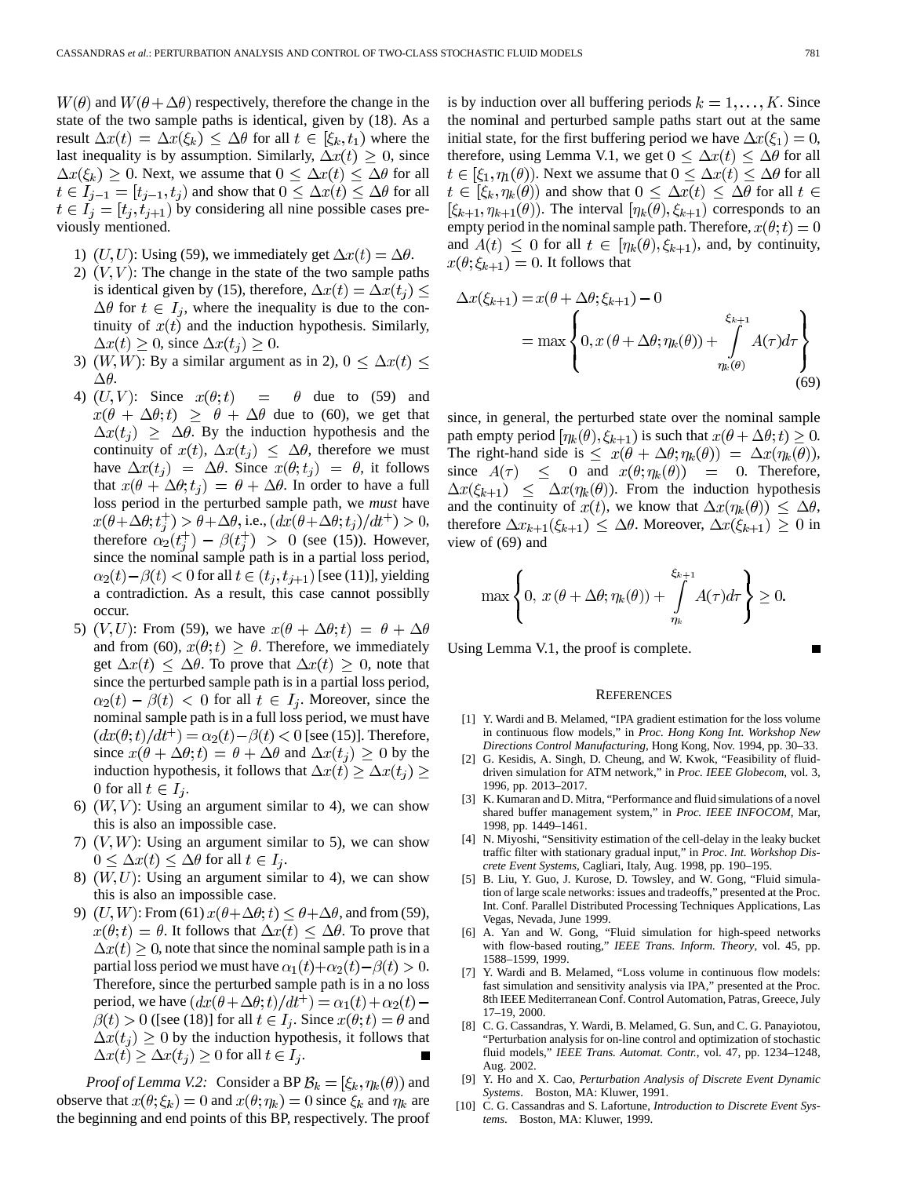$W(\theta)$  and  $W(\theta + \Delta \theta)$  respectively, therefore the change in the state of the two sample paths is identical, given by (18). As a result  $\Delta x(t) = \Delta x(\xi_k) \leq \Delta \theta$  for all  $t \in [\xi_k, t_1]$  where the last inequality is by assumption. Similarly,  $\Delta x(t) \geq 0$ , since  $\Delta x(\xi_k) \geq 0$ . Next, we assume that  $0 \leq \Delta x(t) \leq \Delta \theta$  for all  $t \in I_{j-1} = [t_{j-1}, t_j)$  and show that  $0 \leq \Delta x(t) \leq \Delta \theta$  for all  $t \in I_j = [t_j, t_{j+1})$  by considering all nine possible cases previously mentioned.

- 1)  $(U, U)$ : Using (59), we immediately get  $\Delta x(t) = \Delta \theta$ .
- 2)  $(V, V)$ : The change in the state of the two sample paths is identical given by (15), therefore,  $\Delta x(t) = \Delta x(t_j) \leq$  $\Delta\theta$  for  $t \in I_i$ , where the inequality is due to the continuity of  $x(t)$  and the induction hypothesis. Similarly,  $\Delta x(t) \geq 0$ , since  $\Delta x(t_i) \geq 0$ .
- 3)  $(W, W)$ : By a similar argument as in 2),  $0 \leq \Delta x(t) \leq$  $\Delta\theta$ .
- 4)  $(U, V)$ : Since  $x(\theta; t) = \theta$  due to (59) and  $x(\theta + \Delta\theta; t) \geq \theta + \Delta\theta$  due to (60), we get that  $\Delta x(t_i) \geq \Delta \theta$ . By the induction hypothesis and the continuity of  $x(t)$ ,  $\Delta x(t_i) \leq \Delta \theta$ , therefore we must have  $\Delta x(t_i) = \Delta \theta$ . Since  $x(\theta; t_i) = \theta$ , it follows that  $x(\theta + \Delta\theta; t_i) = \theta + \Delta\theta$ . In order to have a full loss period in the perturbed sample path, we *must* have  $x(\theta + \Delta\theta; t_i^+) > \theta + \Delta\theta$ , i.e.,  $(dx(\theta + \Delta\theta; t_i)/dt^+) > 0$ , therefore  $\alpha_2(t_j^+) - \beta(t_j^+) > 0$  (see (15)). However, since the nominal sample path is in a partial loss period,  $\alpha_2(t) - \beta(t) < 0$  for all  $t \in (t_j, t_{j+1})$  [see (11)], yielding a contradiction. As a result, this case cannot possiblly occur.
- 5)  $(V, U)$ : From (59), we have  $x(\theta + \Delta\theta; t) = \theta + \Delta\theta$ and from (60),  $x(\theta; t) \geq \theta$ . Therefore, we immediately get  $\Delta x(t) \leq \Delta \theta$ . To prove that  $\Delta x(t) \geq 0$ , note that since the perturbed sample path is in a partial loss period,  $\alpha_2(t) - \beta(t) < 0$  for all  $t \in I_i$ . Moreover, since the nominal sample path is in a full loss period, we must have  $\left(\frac{dx(\theta;t)}{dt}\right) = \alpha_2(t) - \beta(t) < 0$  [see (15)]. Therefore, since  $x(\theta + \Delta\theta; t) = \theta + \Delta\theta$  and  $\Delta x(t_i) \geq 0$  by the induction hypothesis, it follows that  $\Delta x(t) \geq \Delta x(t_i) \geq$ 0 for all  $t \in I_i$ .
- 6)  $(W, V)$ : Using an argument similar to 4), we can show this is also an impossible case.
- 7)  $(V, W)$ : Using an argument similar to 5), we can show  $0 \leq \Delta x(t) \leq \Delta \theta$  for all  $t \in I_i$ .
- 8)  $(W, U)$ : Using an argument similar to 4), we can show this is also an impossible case.
- 9)  $(U, W)$ : From (61)  $x(\theta + \Delta \theta; t) \leq \theta + \Delta \theta$ , and from (59),  $x(\theta; t) = \theta$ . It follows that  $\Delta x(t) \leq \Delta \theta$ . To prove that  $\Delta x(t) \geq 0$ , note that since the nominal sample path is in a partial loss period we must have  $\alpha_1(t) + \alpha_2(t) - \beta(t) > 0$ . Therefore, since the perturbed sample path is in a no loss period, we have  $\left(\frac{dx(\theta + \Delta\theta; t)}{dt}\right) = \alpha_1(t) + \alpha_2(t) \beta(t) > 0$  ([see (18)] for all  $t \in I_j$ . Since  $x(\theta; t) = \theta$  and  $\Delta x(t_i) \geq 0$  by the induction hypothesis, it follows that  $\Delta x(t) \geq \Delta x(t_j) \geq 0$  for all  $t \in I_j$ .

*Proof of Lemma V.2:* Consider a BP  $\mathcal{B}_k = [\xi_k, \eta_k(\theta)]$  and observe that  $x(\theta; \xi_k) = 0$  and  $x(\theta; \eta_k) = 0$  since  $\xi_k$  and  $\eta_k$  are the beginning and end points of this BP, respectively. The proof is by induction over all buffering periods  $k = 1, \ldots, K$ . Since the nominal and perturbed sample paths start out at the same initial state, for the first buffering period we have  $\Delta x(\xi_1) = 0$ , therefore, using Lemma V.1, we get  $0 \leq \Delta x(t) \leq \Delta \theta$  for all  $t \in [\xi_1, \eta_1(\theta))$ . Next we assume that  $0 \leq \Delta x(t) \leq \Delta \theta$  for all  $t \in [\xi_k, \eta_k(\theta)]$  and show that  $0 \leq \Delta x(t) \leq \Delta \theta$  for all  $t \in$  $[\xi_{k+1}, \eta_{k+1}(\theta)]$ . The interval  $[\eta_k(\theta), \xi_{k+1}]$  corresponds to an empty period in the nominal sample path. Therefore,  $x(\theta; t) = 0$ and  $A(t) \leq 0$  for all  $t \in [\eta_k(\theta), \xi_{k+1})$ , and, by continuity,  $x(\theta; \xi_{k+1}) = 0$ . It follows that

$$
\Delta x(\xi_{k+1}) = x(\theta + \Delta \theta; \xi_{k+1}) - 0
$$
  
= max 
$$
\left\{ 0, x(\theta + \Delta \theta; \eta_k(\theta)) + \int_{\eta_k(\theta)}^{\xi_{k+1}} A(\tau) d\tau \right\}
$$
  
(69)

since, in general, the perturbed state over the nominal sample path empty period  $[\eta_k(\theta), \xi_{k+1})$  is such that  $x(\theta + \Delta \theta; t) \geq 0$ . The right-hand side is  $\leq x(\theta + \Delta \theta; \eta_k(\theta)) = \Delta x(\eta_k(\theta)),$ since  $A(\tau) \leq 0$  and  $x(\theta; \eta_k(\theta)) = 0$ . Therefore,  $\Delta x(\xi_{k+1}) \leq \Delta x(\eta_k(\theta))$ . From the induction hypothesis and the continuity of  $x(t)$ , we know that  $\Delta x(\eta_k(\theta)) \leq \Delta \theta$ , therefore  $\Delta x_{k+1}(\xi_{k+1}) \leq \Delta \theta$ . Moreover,  $\Delta x(\xi_{k+1}) \geq 0$  in view of (69) and

$$
\max\left\{0, x(\theta + \Delta\theta; \eta_k(\theta)) + \int\limits_{\eta_k}^{\xi_{k+1}} A(\tau) d\tau\right\} \ge 0
$$

Using Lemma V.1, the proof is complete.

# **REFERENCES**

- [1] Y. Wardi and B. Melamed, "IPA gradient estimation for the loss volume in continuous flow models," in *Proc. Hong Kong Int. Workshop New Directions Control Manufacturing*, Hong Kong, Nov. 1994, pp. 30–33.
- [2] G. Kesidis, A. Singh, D. Cheung, and W. Kwok, "Feasibility of fluiddriven simulation for ATM network," in *Proc. IEEE Globecom*, vol. 3, 1996, pp. 2013–2017.
- [3] K. Kumaran and D. Mitra, "Performance and fluid simulations of a novel shared buffer management system," in *Proc. IEEE INFOCOM*, Mar, 1998, pp. 1449–1461.
- [4] N. Miyoshi, "Sensitivity estimation of the cell-delay in the leaky bucket traffic filter with stationary gradual input," in *Proc. Int. Workshop Discrete Event Systems*, Cagliari, Italy, Aug. 1998, pp. 190–195.
- [5] B. Liu, Y. Guo, J. Kurose, D. Towsley, and W. Gong, "Fluid simulation of large scale networks: issues and tradeoffs," presented at the Proc. Int. Conf. Parallel Distributed Processing Techniques Applications, Las Vegas, Nevada, June 1999.
- [6] A. Yan and W. Gong, "Fluid simulation for high-speed networks with flow-based routing," *IEEE Trans. Inform. Theory*, vol. 45, pp. 1588–1599, 1999.
- [7] Y. Wardi and B. Melamed, "Loss volume in continuous flow models: fast simulation and sensitivity analysis via IPA," presented at the Proc. 8th IEEE Mediterranean Conf. Control Automation, Patras, Greece, July 17–19, 2000.
- [8] C. G. Cassandras, Y. Wardi, B. Melamed, G. Sun, and C. G. Panayiotou, "Perturbation analysis for on-line control and optimization of stochastic fluid models," *IEEE Trans. Automat. Contr.*, vol. 47, pp. 1234–1248, Aug. 2002.
- [9] Y. Ho and X. Cao, *Perturbation Analysis of Discrete Event Dynamic Systems*. Boston, MA: Kluwer, 1991.
- [10] C. G. Cassandras and S. Lafortune, *Introduction to Discrete Event Systems*. Boston, MA: Kluwer, 1999.